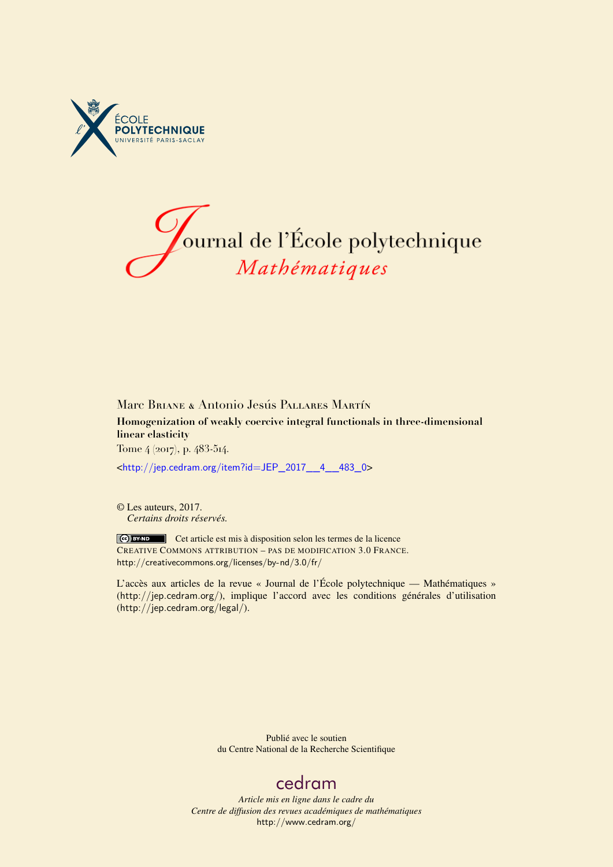



## Marc Briane & Antonio Jesús Pallares Martín **Homogenization of weakly coercive integral functionals in three-dimensional linear elasticity** Tome 4 (2017), p. 483-514.

<[http://jep.cedram.org/item?id=JEP\\_2017\\_\\_4\\_\\_483\\_0](http://jep.cedram.org/item?id=JEP_2017__4__483_0)>

© Les auteurs, 2017. *Certains droits réservés.*

Cet article est mis à disposition selon les termes de la licence CREATIVE COMMONS ATTRIBUTION – PAS DE MODIFICATION 3.0 FRANCE. <http://creativecommons.org/licenses/by-nd/3.0/fr/>

L'accès aux articles de la revue « Journal de l'École polytechnique — Mathématiques » (<http://jep.cedram.org/>), implique l'accord avec les conditions générales d'utilisation (<http://jep.cedram.org/legal/>).

> Publié avec le soutien du Centre National de la Recherche Scientifique

## [cedram](http://www.cedram.org/)

*Article mis en ligne dans le cadre du Centre de diffusion des revues académiques de mathématiques* <http://www.cedram.org/>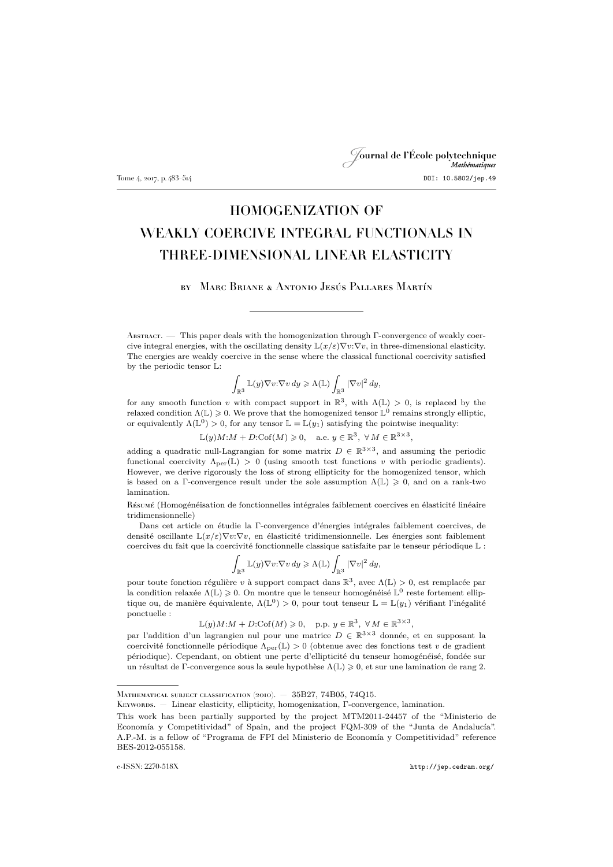## Journal de l'École polytechnique Mathématiques Tome 4, 2017, p. 483–514 **DOI: 10.5802/jep.49**

# HOMOGENIZATION OF WEAKLY COERCIVE INTEGRAL FUNCTIONALS IN THREE-DIMENSIONAL LINEAR ELASTICITY

by Marc Briane & Antonio Jesús Pallares Martín

Abstract. — This paper deals with the homogenization through Γ-convergence of weakly coercive integral energies, with the oscillating density  $\mathbb{L}(x/\varepsilon) \nabla v \cdot \nabla v$ , in three-dimensional elasticity. The energies are weakly coercive in the sense where the classical functional coercivity satisfied by the periodic tensor L:

$$
\int_{\mathbb{R}^3} \mathbb{L}(y) \nabla v \mathpunct{:}\nabla v \, dy \geqslant \Lambda(\mathbb{L}) \int_{\mathbb{R}^3} |\nabla v|^2 \, dy,
$$

for any smooth function v with compact support in  $\mathbb{R}^3$ , with  $\Lambda(\mathbb{L}) > 0$ , is replaced by the relaxed condition  $\Lambda(\mathbb{L}) \geqslant 0$ . We prove that the homogenized tensor  $\mathbb{L}^0$  remains strongly elliptic, or equivalently  $\Lambda(\mathbb{L}^0) > 0$ , for any tensor  $\mathbb{L} = \mathbb{L}(y_1)$  satisfying the pointwise inequality:

 $\mathbb{L}(y)M:M+D:\mathrm{Cof}(M)\geqslant 0, \quad \text{a.e. } y\in\mathbb{R}^3, \; \forall\,M\in\mathbb{R}^{3\times 3},$ 

adding a quadratic null-Lagrangian for some matrix  $D \in \mathbb{R}^{3 \times 3}$ , and assuming the periodic functional coercivity  $\Lambda_{\text{per}}(\mathbb{L}) > 0$  (using smooth test functions v with periodic gradients). However, we derive rigorously the loss of strong ellipticity for the homogenized tensor, which is based on a Γ-convergence result under the sole assumption  $\Lambda(L) \geqslant 0$ , and on a rank-two lamination.

Résumé (Homogénéisation de fonctionnelles intégrales faiblement coercives en élasticité linéaire tridimensionnelle)

Dans cet article on étudie la Γ-convergence d'énergies intégrales faiblement coercives, de densité oscillante  $\mathbb{L}(x/\varepsilon) \nabla v \cdot \nabla v$ , en élasticité tridimensionnelle. Les énergies sont faiblement coercives du fait que la coercivité fonctionnelle classique satisfaite par le tenseur périodique L :

$$
\int_{\mathbb{R}^3} \mathbb{L}(y) \nabla v \mathpunct{:} \nabla v \, dy \geqslant \Lambda(\mathbb{L}) \int_{\mathbb{R}^3} |\nabla v|^2 \, dy,
$$

pour toute fonction régulière v à support compact dans  $\mathbb{R}^3$ , avec  $\Lambda(\mathbb{L}) > 0$ , est remplacée par la condition relaxée  $\Lambda(\mathbb{L}) \geqslant 0$ . On montre que le tenseur homogénéisé  $\mathbb{L}^0$  reste fortement elliptique ou, de manière équivalente,  $\Lambda(\mathbb{L}^0) > 0$ , pour tout tenseur  $\mathbb{L} = \mathbb{L}(y_1)$  vérifiant l'inégalité ponctuelle :

 $\mathbb{L}(y)M:M+D:\mathrm{Cof}(M)\geqslant 0, \quad \text{p.p. } y\in\mathbb{R}^3, \ \forall M\in\mathbb{R}^{3\times 3},$ 

par l'addition d'un lagrangien nul pour une matrice  $D \in \mathbb{R}^{3 \times 3}$  donnée, et en supposant la coercivité fonctionnelle périodique  $\Lambda_{\text{per}}(\mathbb{L}) > 0$  (obtenue avec des fonctions test v de gradient périodique). Cependant, on obtient une perte d'ellipticité du tenseur homogénéisé, fondée sur un résultat de Γ-convergence sous la seule hypothèse  $\Lambda(\mathbb{L}) \geq 0$ , et sur une lamination de rang 2.

Keywords. — Linear elasticity, ellipticity, homogenization, Γ-convergence, lamination.

Mathematical subject classification (2010). — 35B27, 74B05, 74Q15.

This work has been partially supported by the project MTM2011-24457 of the "Ministerio de Economía y Competitividad" of Spain, and the project FQM-309 of the "Junta de Andalucía". A.P.-M. is a fellow of "Programa de FPI del Ministerio de Economía y Competitividad" reference BES-2012-055158.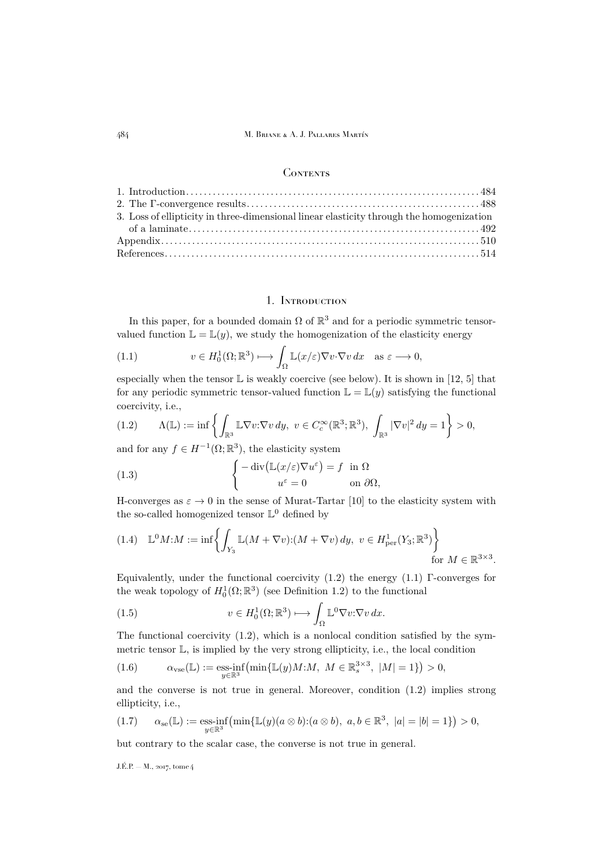#### **CONTENTS**

| 3. Loss of ellipticity in three-dimensional linear elasticity through the homogenization |  |
|------------------------------------------------------------------------------------------|--|
|                                                                                          |  |
|                                                                                          |  |
|                                                                                          |  |

## 1. Introduction

<span id="page-2-0"></span>In this paper, for a bounded domain  $\Omega$  of  $\mathbb{R}^3$  and for a periodic symmetric tensorvalued function  $\mathbb{L} = \mathbb{L}(y)$ , we study the homogenization of the elasticity energy

<span id="page-2-2"></span>(1.1) 
$$
v \in H_0^1(\Omega; \mathbb{R}^3) \longmapsto \int_{\Omega} \mathbb{L}(x/\varepsilon) \nabla v \cdot \nabla v \, dx \quad \text{as } \varepsilon \longrightarrow 0,
$$

especially when the tensor  $\mathbb L$  is weakly coercive (see below). It is shown in [\[12,](#page-32-1) [5\]](#page-32-2) that for any periodic symmetric tensor-valued function  $\mathbb{L} = \mathbb{L}(y)$  satisfying the functional coercivity, i.e.,

<span id="page-2-1"></span>
$$
(1.2) \qquad \Lambda(\mathbb{L}) := \inf \left\{ \int_{\mathbb{R}^3} \mathbb{L} \nabla v : \nabla v \, dy, \ v \in C_c^{\infty}(\mathbb{R}^3; \mathbb{R}^3), \ \int_{\mathbb{R}^3} |\nabla v|^2 \, dy = 1 \right\} > 0,
$$

and for any  $f \in H^{-1}(\Omega; \mathbb{R}^3)$ , the elasticity system

<span id="page-2-3"></span>(1.3) 
$$
\begin{cases}\n-\operatorname{div}(\mathbb{L}(x/\varepsilon)\nabla u^{\varepsilon}) = f & \text{in } \Omega \\
u^{\varepsilon} = 0 & \text{on } \partial\Omega,\n\end{cases}
$$

H-converges as  $\varepsilon \to 0$  in the sense of Murat-Tartar [\[10\]](#page-32-3) to the elasticity system with the so-called homogenized tensor  $\mathbb{L}^0$  defined by

<span id="page-2-4"></span>
$$
(1.4) \quad \mathbb{L}^0 M: M := \inf \left\{ \int_{Y_3} \mathbb{L}(M + \nabla v): (M + \nabla v) dy, \ v \in H^1_{\text{per}}(Y_3; \mathbb{R}^3) \right\}
$$
\n
$$
\text{for } M \in \mathbb{R}^{3 \times 3}.
$$

Equivalently, under the functional coercivity  $(1.2)$  the energy  $(1.1)$  Γ-converges for the weak topology of  $H_0^1(\Omega;\mathbb{R}^3)$  (see Definition [1.2\)](#page-6-1) to the functional

(1.5) 
$$
v \in H_0^1(\Omega; \mathbb{R}^3) \longmapsto \int_{\Omega} \mathbb{L}^0 \nabla v: \nabla v \, dx.
$$

The functional coercivity [\(1.2\)](#page-2-1), which is a nonlocal condition satisfied by the symmetric tensor L, is implied by the very strong ellipticity, i.e., the local condition

(1.6) 
$$
\alpha_{\text{vse}}(\mathbb{L}) := \underset{y \in \mathbb{R}^3}{\text{ess-inf}} \left( \min \{ \mathbb{L}(y)M : M, \ M \in \mathbb{R}^{3 \times 3}_s, \ |M| = 1 \} \right) > 0,
$$

and the converse is not true in general. Moreover, condition [\(1.2\)](#page-2-1) implies strong ellipticity, i.e.,

$$
(1.7) \qquad \alpha_{\rm se}(\mathbb{L}) := \underset{y \in \mathbb{R}^3}{\rm ess\text{-}inf} \left( \min \{ \mathbb{L}(y) (a \otimes b); (a \otimes b), \ a, b \in \mathbb{R}^3, \ |a| = |b| = 1 \} \right) > 0,
$$

but contrary to the scalar case, the converse is not true in general.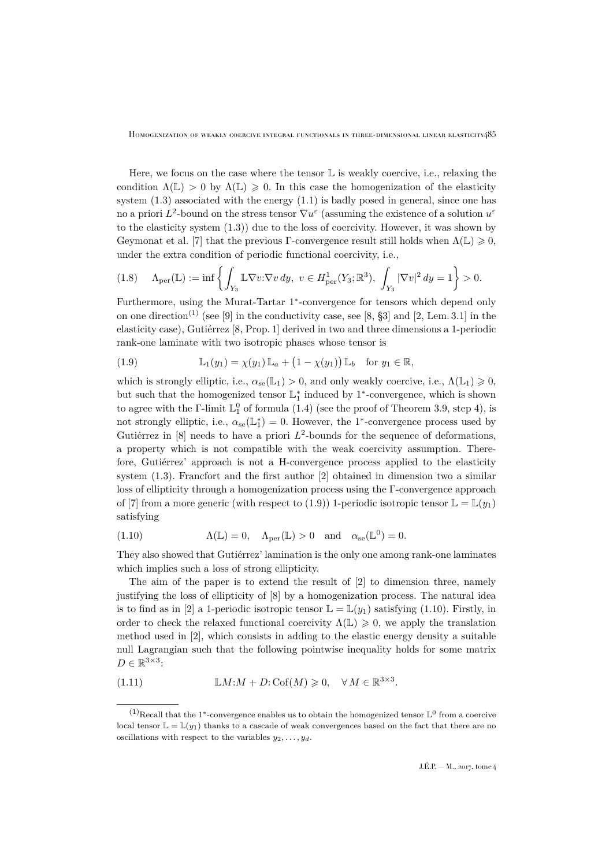Here, we focus on the case where the tensor  $\mathbb L$  is weakly coercive, i.e., relaxing the condition  $\Lambda(\mathbb{L}) > 0$  by  $\Lambda(\mathbb{L}) \geq 0$ . In this case the homogenization of the elasticity system [\(1.3\)](#page-2-3) associated with the energy [\(1.1\)](#page-2-2) is badly posed in general, since one has no a priori  $L^2$ -bound on the stress tensor  $\nabla u^{\varepsilon}$  (assuming the existence of a solution  $u^{\varepsilon}$ to the elasticity system [\(1.3\)](#page-2-3)) due to the loss of coercivity. However, it was shown by Geymonat et al. [\[7\]](#page-32-4) that the previous Γ-convergence result still holds when  $\Lambda(\mathbb{L}) \geq 0$ , under the extra condition of periodic functional coercivity, i.e.,

$$
(1.8) \quad \Lambda_{\text{per}}(\mathbb{L}) := \inf \left\{ \int_{Y_3} \mathbb{L} \nabla v : \nabla v \, dy, \ v \in H^1_{\text{per}}(Y_3; \mathbb{R}^3), \int_{Y_3} |\nabla v|^2 \, dy = 1 \right\} > 0.
$$

Furthermore, using the Murat-Tartar 1<sup>\*</sup>-convergence for tensors which depend only on one direction<sup>(1)</sup> (see [\[9\]](#page-32-5) in the conductivity case, see [\[8,](#page-32-6)  $\S3$ ] and [\[2,](#page-32-7) Lem. 3.1] in the elasticity case), Gutiérrez [\[8,](#page-32-6) Prop. 1] derived in two and three dimensions a 1-periodic rank-one laminate with two isotropic phases whose tensor is

<span id="page-3-0"></span>(1.9) 
$$
\mathbb{L}_1(y_1) = \chi(y_1) \mathbb{L}_a + (1 - \chi(y_1)) \mathbb{L}_b \text{ for } y_1 \in \mathbb{R},
$$

which is strongly elliptic, i.e.,  $\alpha_{se}(\mathbb{L}_1) > 0$ , and only weakly coercive, i.e.,  $\Lambda(\mathbb{L}_1) \geq 0$ , but such that the homogenized tensor  $\mathbb{L}_1^*$  induced by 1<sup>\*</sup>-convergence, which is shown to agree with the  $\Gamma$ -limit  $\mathbb{L}_{1}^{0}$  of formula [\(1.4\)](#page-2-4) (see the proof of Theorem [3.9,](#page-22-0) step 4), is not strongly elliptic, i.e.,  $\alpha_{se}(\mathbb{L}_1^*)=0$ . However, the 1<sup>\*</sup>-convergence process used by Gutiérrez in [\[8\]](#page-32-6) needs to have a priori  $L^2$ -bounds for the sequence of deformations, a property which is not compatible with the weak coercivity assumption. Therefore, Gutiérrez' approach is not a H-convergence process applied to the elasticity system [\(1.3\)](#page-2-3). Francfort and the first author [\[2\]](#page-32-7) obtained in dimension two a similar loss of ellipticity through a homogenization process using the Γ-convergence approach of [\[7\]](#page-32-4) from a more generic (with respect to [\(1.9\)](#page-3-0)) 1-periodic isotropic tensor  $\mathbb{L} = \mathbb{L}(y_1)$ satisfying

<span id="page-3-1"></span>(1.10) 
$$
\Lambda(\mathbb{L}) = 0, \quad \Lambda_{\text{per}}(\mathbb{L}) > 0 \quad \text{and} \quad \alpha_{\text{se}}(\mathbb{L}^0) = 0.
$$

They also showed that Gutiérrez' lamination is the only one among rank-one laminates which implies such a loss of strong ellipticity.

The aim of the paper is to extend the result of [\[2\]](#page-32-7) to dimension three, namely justifying the loss of ellipticity of [\[8\]](#page-32-6) by a homogenization process. The natural idea is to find as in [\[2\]](#page-32-7) a 1-periodic isotropic tensor  $\mathbb{L} = \mathbb{L}(y_1)$  satisfying [\(1.10\)](#page-3-1). Firstly, in order to check the relaxed functional coercivity  $\Lambda(\mathbb{L}) \geq 0$ , we apply the translation method used in [\[2\]](#page-32-7), which consists in adding to the elastic energy density a suitable null Lagrangian such that the following pointwise inequality holds for some matrix  $D \in \mathbb{R}^{3 \times 3}$ :

<span id="page-3-2"></span>(1.11) 
$$
\mathbb{L}M:M+D:\mathrm{Cof}(M)\geqslant 0, \quad \forall M\in\mathbb{R}^{3\times3}.
$$

 $(1)$ Recall that the 1<sup>\*</sup>-convergence enables us to obtain the homogenized tensor  $\mathbb{L}^0$  from a coercive local tensor  $\mathbb{L} = \mathbb{L}(y_1)$  thanks to a cascade of weak convergences based on the fact that there are no oscillations with respect to the variables  $y_2, \ldots, y_d$ .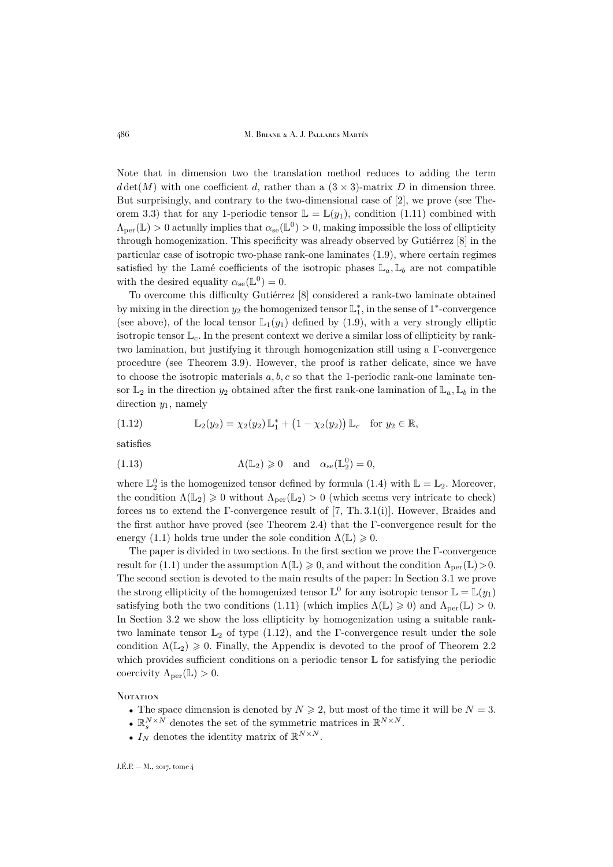486 M. Briane & A. J. Pallares Martín

Note that in dimension two the translation method reduces to adding the term  $d \det(M)$  with one coefficient d, rather than a  $(3 \times 3)$ -matrix D in dimension three. But surprisingly, and contrary to the two-dimensional case of [\[2\]](#page-32-7), we prove (see The-orem [3.3\)](#page-12-0) that for any 1-periodic tensor  $\mathbb{L} = \mathbb{L}(y_1)$ , condition [\(1.11\)](#page-3-2) combined with  $\Lambda_{\text{per}}(\mathbb{L}) > 0$  actually implies that  $\alpha_{\text{se}}(\mathbb{L}^0) > 0$ , making impossible the loss of ellipticity through homogenization. This specificity was already observed by Gutiérrez [\[8\]](#page-32-6) in the particular case of isotropic two-phase rank-one laminates [\(1.9\)](#page-3-0), where certain regimes satisfied by the Lamé coefficients of the isotropic phases  $\mathbb{L}_a, \mathbb{L}_b$  are not compatible with the desired equality  $\alpha_{se}(\mathbb{L}^0) = 0$ .

To overcome this difficulty Gutiérrez [\[8\]](#page-32-6) considered a rank-two laminate obtained by mixing in the direction  $y_2$  the homogenized tensor  $\mathbb{L}_1^*$ , in the sense of 1<sup>\*</sup>-convergence (see above), of the local tensor  $\mathbb{L}_1(y_1)$  defined by [\(1.9\)](#page-3-0), with a very strongly elliptic isotropic tensor  $\mathbb{L}_c$ . In the present context we derive a similar loss of ellipticity by ranktwo lamination, but justifying it through homogenization still using a Γ-convergence procedure (see Theorem [3.9\)](#page-22-0). However, the proof is rather delicate, since we have to choose the isotropic materials  $a, b, c$  so that the 1-periodic rank-one laminate tensor  $\mathbb{L}_2$  in the direction  $y_2$  obtained after the first rank-one lamination of  $\mathbb{L}_a, \mathbb{L}_b$  in the direction  $y_1$ , namely

<span id="page-4-0"></span>(1.12) 
$$
\mathbb{L}_2(y_2) = \chi_2(y_2) \mathbb{L}_1^* + (1 - \chi_2(y_2)) \mathbb{L}_c \text{ for } y_2 \in \mathbb{R},
$$

satisfies

(1.13) 
$$
\Lambda(\mathbb{L}_2) \geq 0 \quad \text{and} \quad \alpha_{\rm se}(\mathbb{L}_2^0) = 0,
$$

where  $\mathbb{L}_2^0$  is the homogenized tensor defined by formula [\(1.4\)](#page-2-4) with  $\mathbb{L} = \mathbb{L}_2$ . Moreover, the condition  $\Lambda(\mathbb{L}_2) \geq 0$  without  $\Lambda_{\text{per}}(\mathbb{L}_2) > 0$  (which seems very intricate to check) forces us to extend the Γ-convergence result of [\[7,](#page-32-4) Th. 3.1(i)]. However, Braides and the first author have proved (see Theorem [2.4\)](#page-8-0) that the Γ-convergence result for the energy [\(1.1\)](#page-2-2) holds true under the sole condition  $\Lambda(\mathbb{L}) \geq 0$ .

The paper is divided in two sections. In the first section we prove the Γ-convergence result for [\(1.1\)](#page-2-2) under the assumption  $\Lambda(\mathbb{L}) \geq 0$ , and without the condition  $\Lambda_{\text{per}}(\mathbb{L}) > 0$ . The second section is devoted to the main results of the paper: In Section [3.1](#page-11-0) we prove the strong ellipticity of the homogenized tensor  $\mathbb{L}^0$  for any isotropic tensor  $\mathbb{L} = \mathbb{L}(y_1)$ satisfying both the two conditions [\(1.11\)](#page-3-2) (which implies  $\Lambda(\mathbb{L}) \geq 0$ ) and  $\Lambda_{\text{per}}(\mathbb{L}) > 0$ . In Section [3.2](#page-22-1) we show the loss ellipticity by homogenization using a suitable ranktwo laminate tensor  $\mathbb{L}_2$  of type [\(1.12\)](#page-4-0), and the Γ-convergence result under the sole condition  $\Lambda(\mathbb{L}_2) \geq 0$ . Finally, the Appendix is devoted to the proof of Theorem [2.2](#page-8-1) which provides sufficient conditions on a periodic tensor  $\mathbb L$  for satisfying the periodic coercivity  $\Lambda_{\text{per}}(\mathbb{L}) > 0$ .

**NOTATION** 

- The space dimension is denoted by  $N \ge 2$ , but most of the time it will be  $N = 3$ .
- $\mathbb{R}^{N\times N}_s$  denotes the set of the symmetric matrices in  $\mathbb{R}^{N\times N}.$
- $I_N$  denotes the identity matrix of  $\mathbb{R}^{N \times N}$ .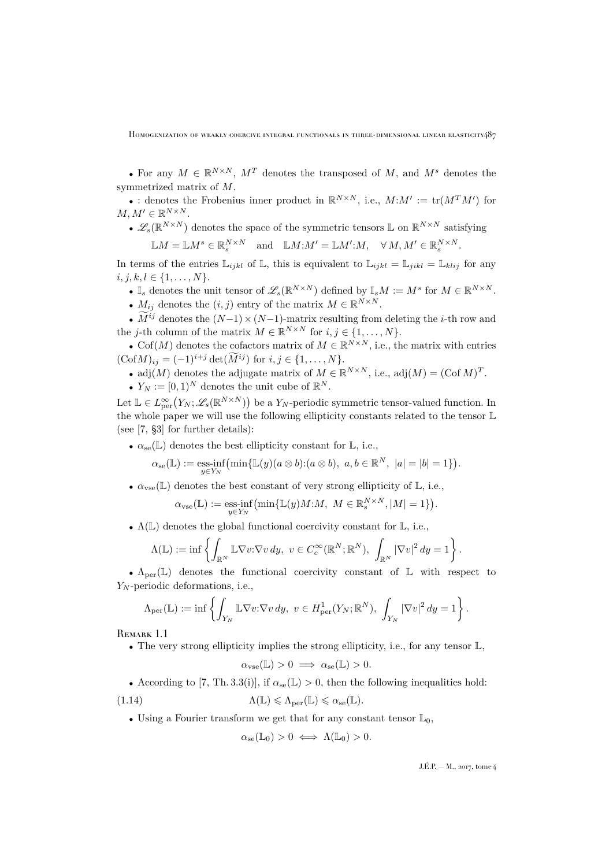• For any  $M \in \mathbb{R}^{N \times N}$ ,  $M<sup>T</sup>$  denotes the transposed of M, and  $M<sup>s</sup>$  denotes the symmetrized matrix of M.

• : denotes the Frobenius inner product in  $\mathbb{R}^{N\times N}$ , i.e.,  $M:M':=\text{tr}(M^TM')$  for  $M, M' \in \mathbb{R}^{N \times N}$ .

•  $\mathscr{L}_s(\mathbb{R}^{N\times N})$  denotes the space of the symmetric tensors  $\mathbb L$  on  $\mathbb{R}^{N\times N}$  satisfying

 $\mathbb{L}M = \mathbb{L}M^s \in \mathbb{R}_s^{N \times N}$  and  $\mathbb{L}M : M' = \mathbb{L}M' : M, \quad \forall M, M' \in \mathbb{R}_s^{N \times N}$ .

In terms of the entries  $\mathbb{L}_{ijkl}$  of  $\mathbb{L}$ , this is equivalent to  $\mathbb{L}_{ijkl} = \mathbb{L}_{jikl} = \mathbb{L}_{klij}$  for any  $i, j, k, l \in \{1, \ldots, N\}.$ 

- $\mathbb{I}_s$  denotes the unit tensor of  $\mathscr{L}_s(\mathbb{R}^{N\times N})$  defined by  $\mathbb{I}_sM:=M^s$  for  $M\in\mathbb{R}^{N\times N}$ .
- $M_{ij}$  denotes the  $(i, j)$  entry of the matrix  $M \in \mathbb{R}^{N \times N}$ .

•  $M^{ij}$  denotes the  $(N-1) \times (N-1)$ -matrix resulting from deleting the *i*-th row and the *j*-th column of the matrix  $M \in \mathbb{R}^{N \times N}$  for  $i, j \in \{1, ..., N\}$ .

• Cof(M) denotes the cofactors matrix of  $M \in \mathbb{R}^{N \times N}$ , i.e., the matrix with entries  $(\text{Cof }M)_{ij} = (-1)^{i+j} \det(\tilde{M}^{ij})$  for  $i, j \in \{1, ..., N\}.$ 

- adj $(M)$  denotes the adjugate matrix of  $M \in \mathbb{R}^{N \times N}$ , i.e., adj $(M) = (\text{Cof } M)^T$ .
- $Y_N := [0, 1)^N$  denotes the unit cube of  $\mathbb{R}^N$ .

Let  $\mathbb{L} \in L^{\infty}_{per}(Y_N; \mathscr{L}_s(\mathbb{R}^{N \times N}))$  be a  $Y_N$ -periodic symmetric tensor-valued function. In the whole paper we will use the following ellipticity constants related to the tensor L (see [\[7,](#page-32-4) §3] for further details):

•  $\alpha_{\rm se}(\mathbb{L})$  denotes the best ellipticity constant for  $\mathbb{L}$ , i.e.,

$$
\alpha_{\text{se}}(\mathbb{L}) := \underset{y \in Y_N}{\text{ess-inf}} \left( \min \{ \mathbb{L}(y) (a \otimes b) : (a \otimes b), \ a, b \in \mathbb{R}^N, \ |a| = |b| = 1 \} \right).
$$

•  $\alpha_{\text{vse}}(\mathbb{L})$  denotes the best constant of very strong ellipticity of  $\mathbb{L}$ , i.e.,

$$
\alpha_{\text{vse}}(\mathbb{L}) := \underset{y \in Y_N}{\text{ess-inf}} \big(\min \{ \mathbb{L}(y)M : M, \ M \in \mathbb{R}_s^{N \times N}, |M| = 1 \} \big).
$$

•  $\Lambda(\mathbb{L})$  denotes the global functional coercivity constant for  $\mathbb{L}$ , i.e.,

$$
\Lambda(\mathbb{L}):=\inf\left\{\int_{\mathbb{R}^N}\mathbb{L}\nabla v\colon\!\!\nabla v\,dy,\ v\in C_c^\infty(\mathbb{R}^N;\mathbb{R}^N),\ \int_{\mathbb{R}^N}|\nabla v|^2\,dy=1\right\}.
$$

•  $\Lambda_{\text{per}}(\mathbb{L})$  denotes the functional coercivity constant of  $\mathbb{L}$  with respect to  $Y_N$ -periodic deformations, i.e.,

$$
\Lambda_{\text{per}}(\mathbb{L}) := \inf \left\{ \int_{Y_N} \mathbb{L} \nabla v : \nabla v \, dy, \ v \in H^1_{\text{per}}(Y_N; \mathbb{R}^N), \int_{Y_N} |\nabla v|^2 \, dy = 1 \right\}.
$$

REMARK 1.1

• The very strong ellipticity implies the strong ellipticity, i.e., for any tensor  $\mathbb{L}$ ,

<span id="page-5-0"></span>
$$
\alpha_{\rm vse}(\mathbb{L}) > 0 \implies \alpha_{\rm se}(\mathbb{L}) > 0.
$$

• According to [\[7,](#page-32-4) Th. 3.3(i)], if  $\alpha_{se}(\mathbb{L}) > 0$ , then the following inequalities hold:

(1.14)  $\Lambda(\mathbb{L}) \leq \Lambda_{\text{per}}(\mathbb{L}) \leq \alpha_{\text{se}}(\mathbb{L}).$ 

• Using a Fourier transform we get that for any constant tensor  $\mathbb{L}_0$ ,

$$
\alpha_{se}(\mathbb{L}_0) > 0 \iff \Lambda(\mathbb{L}_0) > 0.
$$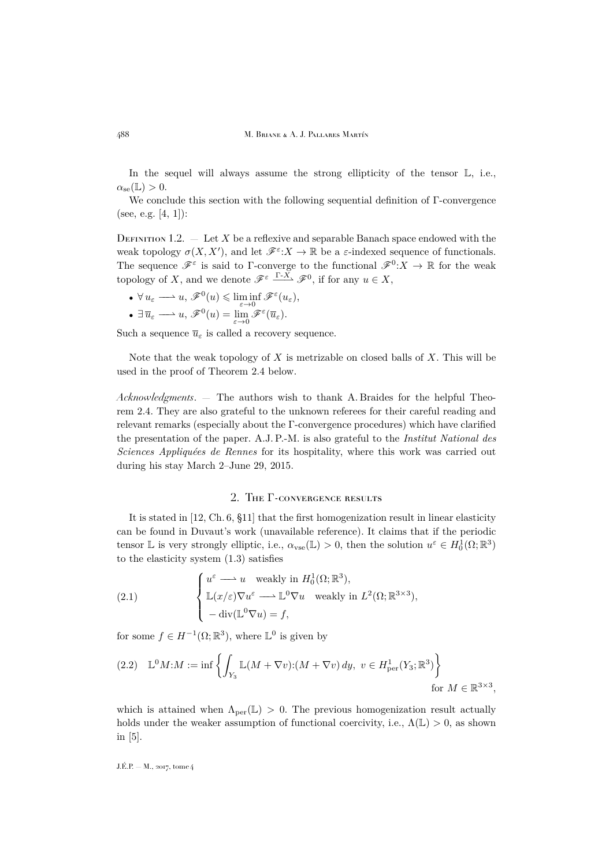In the sequel will always assume the strong ellipticity of the tensor  $\mathbb{L}$ , i.e.,  $\alpha_{\infty}(\mathbb{L}) > 0.$ 

We conclude this section with the following sequential definition of Γ-convergence (see, e.g. [\[4,](#page-32-8) [1\]](#page-32-9)):

<span id="page-6-1"></span>DEFINITION 1.2.  $-$  Let X be a reflexive and separable Banach space endowed with the weak topology  $\sigma(X, X')$ , and let  $\mathscr{F}^{\varepsilon}: X \to \mathbb{R}$  be a  $\varepsilon$ -indexed sequence of functionals. The sequence  $\mathscr{F}^\varepsilon$  is said to  $\Gamma$ -converge to the functional  $\mathscr{F}^0: X \to \mathbb{R}$  for the weak topology of X, and we denote  $\mathscr{F}^{\varepsilon} \xrightarrow{\Gamma-X} \mathscr{F}^0$ , if for any  $u \in X$ ,

- $\forall u_{\varepsilon} \longrightarrow u$ ,  $\mathscr{F}^0(u) \leq \liminf_{{\varepsilon} \to 0} \mathscr{F}^{\varepsilon}(u_{\varepsilon}),$
- $\exists \overline{u}_{\varepsilon} \longrightarrow u$ ,  $\mathscr{F}^0(u) = \lim_{\varepsilon \to 0} \mathscr{F}^{\varepsilon}(\overline{u}_{\varepsilon}).$

Such a sequence  $\overline{u}_{\varepsilon}$  is called a recovery sequence.

Note that the weak topology of X is metrizable on closed balls of X. This will be used in the proof of Theorem [2.4](#page-8-0) below.

*Acknowledgments*. — The authors wish to thank A. Braides for the helpful Theorem [2.4.](#page-8-0) They are also grateful to the unknown referees for their careful reading and relevant remarks (especially about the Γ-convergence procedures) which have clarified the presentation of the paper. A.J. P.-M. is also grateful to the *Institut National des Sciences Appliquées de Rennes* for its hospitality, where this work was carried out during his stay March 2–June 29, 2015.

### 2. The Γ-convergence results

<span id="page-6-0"></span>It is stated in [\[12,](#page-32-1) Ch. 6, §11] that the first homogenization result in linear elasticity can be found in Duvaut's work (unavailable reference). It claims that if the periodic tensor L is very strongly elliptic, i.e.,  $\alpha_{\text{vse}}(\mathbb{L}) > 0$ , then the solution  $u^{\varepsilon} \in H_0^1(\Omega;\mathbb{R}^3)$ to the elasticity system [\(1.3\)](#page-2-3) satisfies

(2.1) 
$$
\begin{cases} u^{\varepsilon} \longrightarrow u \quad \text{weakly in } H_0^1(\Omega; \mathbb{R}^3), \\ \mathbb{L}(x/\varepsilon) \nabla u^{\varepsilon} \longrightarrow \mathbb{L}^0 \nabla u \quad \text{weakly in } L^2(\Omega; \mathbb{R}^{3 \times 3}), \\ -\operatorname{div}(\mathbb{L}^0 \nabla u) = f, \end{cases}
$$

for some  $f \in H^{-1}(\Omega;\mathbb{R}^3)$ , where  $\mathbb{L}^0$  is given by

<span id="page-6-2"></span>
$$
(2.2) \quad \mathbb{L}^0 M: M := \inf \left\{ \int_{Y_3} \mathbb{L}(M + \nabla v): (M + \nabla v) dy, \ v \in H^1_{\text{per}}(Y_3; \mathbb{R}^3) \right\}
$$
\n
$$
\text{for } M \in \mathbb{R}^{3 \times 3},
$$

which is attained when  $\Lambda_{\text{per}}(\mathbb{L}) > 0$ . The previous homogenization result actually holds under the weaker assumption of functional coercivity, i.e.,  $\Lambda(\mathbb{L}) > 0$ , as shown in [\[5\]](#page-32-2).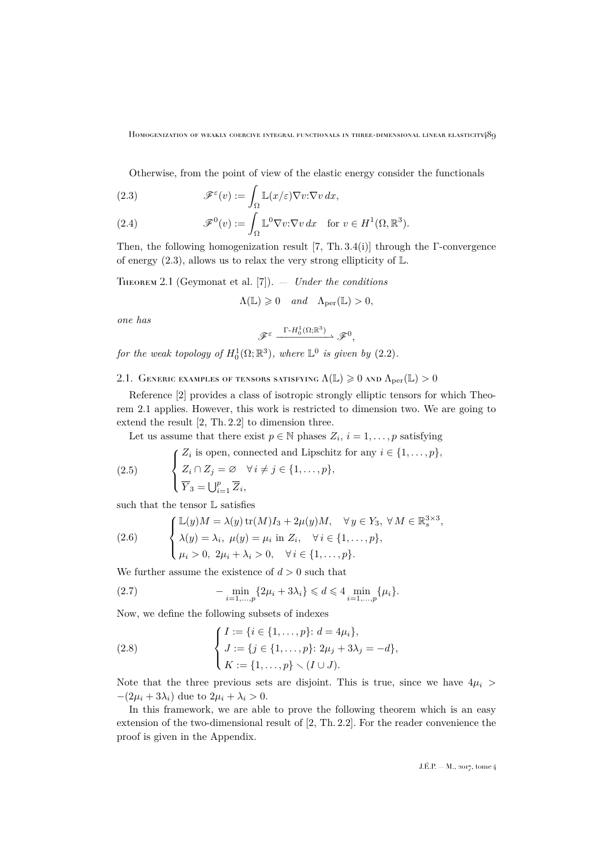Otherwise, from the point of view of the elastic energy consider the functionals

<span id="page-7-0"></span>(2.3) 
$$
\mathscr{F}^{\varepsilon}(v) := \int_{\Omega} \mathbb{L}(x/\varepsilon) \nabla v \cdot \nabla v \, dx,
$$

<span id="page-7-5"></span>(2.4) 
$$
\mathscr{F}^0(v) := \int_{\Omega} \mathbb{L}^0 \nabla v \cdot \nabla v \, dx \quad \text{for } v \in H^1(\Omega, \mathbb{R}^3).
$$

Then, the following homogenization result [\[7,](#page-32-4) Th. 3.4(i)] through the Γ-convergence of energy [\(2.3\)](#page-7-0), allows us to relax the very strong ellipticity of  $\mathbb L.$ 

<span id="page-7-1"></span>Theorem 2.1 (Geymonat et al. [\[7\]](#page-32-4)). — *Under the conditions*

$$
\Lambda(\mathbb{L}) \geq 0 \quad and \quad \Lambda_{\text{per}}(\mathbb{L}) > 0,
$$

*one has*

$$
\mathscr{F}^\varepsilon \xrightarrow{\Gamma \text{-} H^1_0(\Omega;\mathbb{R}^3)} \mathscr{F}^0,
$$

*for the weak topology of*  $H_0^1(\Omega; \mathbb{R}^3)$ *, where*  $\mathbb{L}^0$  *is given by*  $(2.2)$ *.* 

2.1. GENERIC EXAMPLES OF TENSORS SATISFYING  $\Lambda(\mathbb{L}) \geqslant 0$  and  $\Lambda_{\mathrm{per}}(\mathbb{L}) > 0$ 

Reference [\[2\]](#page-32-7) provides a class of isotropic strongly elliptic tensors for which Theorem [2.1](#page-7-1) applies. However, this work is restricted to dimension two. We are going to extend the result [\[2,](#page-32-7) Th. 2.2] to dimension three.

Let us assume that there exist  $p \in \mathbb{N}$  phases  $Z_i$ ,  $i = 1, \ldots, p$  satisfying

(2.5) 
$$
\begin{cases} Z_i \text{ is open, connected and Lipschitz for any } i \in \{1, ..., p\}, \\ Z_i \cap Z_j = \emptyset \quad \forall i \neq j \in \{1, ..., p\}, \\ \overline{Y}_3 = \bigcup_{i=1}^p \overline{Z}_i, \end{cases}
$$

such that the tensor  $\mathbb L$  satisfies

<span id="page-7-2"></span>(2.6) 
$$
\begin{cases} \mathbb{L}(y)M = \lambda(y) \operatorname{tr}(M)I_3 + 2\mu(y)M, & \forall y \in Y_3, \forall M \in \mathbb{R}_s^{3 \times 3}, \\ \lambda(y) = \lambda_i, \ \mu(y) = \mu_i \text{ in } Z_i, \quad \forall i \in \{1, \dots, p\}, \\ \mu_i > 0, \ 2\mu_i + \lambda_i > 0, \quad \forall i \in \{1, \dots, p\}. \end{cases}
$$

We further assume the existence of  $d > 0$  such that

<span id="page-7-3"></span>(2.7) 
$$
-\min_{i=1,\dots,p} \{2\mu_i + 3\lambda_i\} \leq d \leq 4 \min_{i=1,\dots,p} \{\mu_i\}.
$$

Now, we define the following subsets of indexes

<span id="page-7-4"></span>(2.8) 
$$
\begin{cases} I := \{i \in \{1, ..., p\}: d = 4\mu_i\}, \\ J := \{j \in \{1, ..., p\}: 2\mu_j + 3\lambda_j = -d\}, \\ K := \{1, ..., p\} \setminus (I \cup J). \end{cases}
$$

Note that the three previous sets are disjoint. This is true, since we have  $4\mu_i$  $-(2\mu_i + 3\lambda_i)$  due to  $2\mu_i + \lambda_i > 0$ .

In this framework, we are able to prove the following theorem which is an easy extension of the two-dimensional result of [\[2,](#page-32-7) Th. 2.2]. For the reader convenience the proof is given in the Appendix.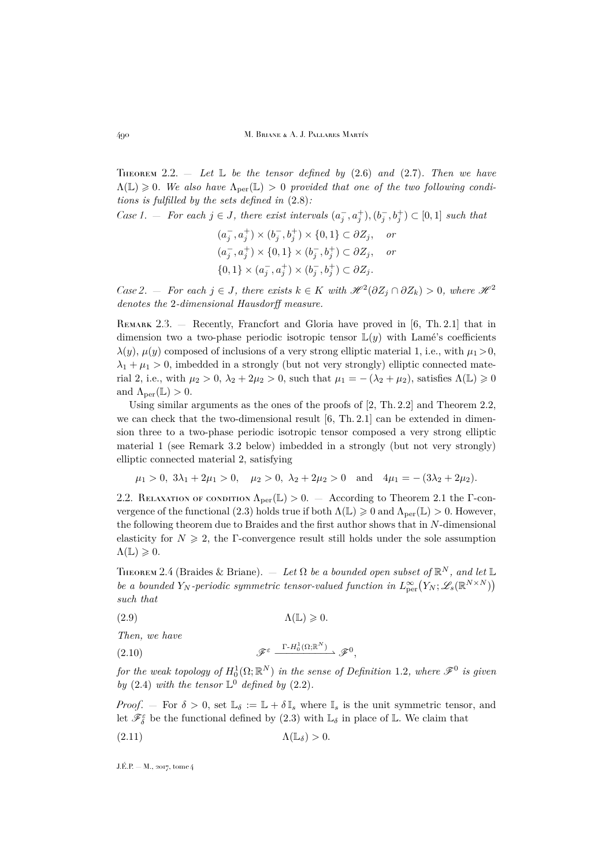<span id="page-8-1"></span>THEOREM 2.2.  $-$  *Let*  $\mathbb{L}$  *be the tensor defined by* [\(2.6\)](#page-7-2) *and* [\(2.7\)](#page-7-3)*. Then we have*  $\Lambda(\mathbb{L}) \geqslant 0$ . We also have  $\Lambda_{\text{per}}(\mathbb{L}) > 0$  provided that one of the two following condi*tions is fulfilled by the sets defined in* [\(2.8\)](#page-7-4)*:*

*Case 1.* — For each  $j \in J$ , there exist intervals  $(a_j^-, a_j^+), (b_j^-, b_j^+) \subset [0,1]$  such that

$$
(a_j^-, a_j^+) \times (b_j^-, b_j^+) \times \{0, 1\} \subset \partial Z_j, \quad \text{or}
$$
  

$$
(a_j^-, a_j^+) \times \{0, 1\} \times (b_j^-, b_j^+) \subset \partial Z_j, \quad \text{or}
$$
  

$$
\{0, 1\} \times (a_j^-, a_j^+) \times (b_j^-, b_j^+) \subset \partial Z_j.
$$

*Case 2.* — *For each*  $j \in J$ , there exists  $k \in K$  with  $\mathcal{H}^2(\partial Z_j \cap \partial Z_k) > 0$ , where  $\mathcal{H}^2$ *denotes the* 2*-dimensional Hausdorff measure.*

REMARK 2.3. — Recently, Francfort and Gloria have proved in [\[6,](#page-32-10) Th. 2.1] that in dimension two a two-phase periodic isotropic tensor  $\mathbb{L}(y)$  with Lamé's coefficients  $\lambda(y)$ ,  $\mu(y)$  composed of inclusions of a very strong elliptic material 1, i.e., with  $\mu_1 > 0$ ,  $\lambda_1 + \mu_1 > 0$ , imbedded in a strongly (but not very strongly) elliptic connected material 2, i.e., with  $\mu_2 > 0$ ,  $\lambda_2 + 2\mu_2 > 0$ , such that  $\mu_1 = -(\lambda_2 + \mu_2)$ , satisfies  $\Lambda(\mathbb{L}) \geq 0$ and  $\Lambda_{\text{per}}(\mathbb{L}) > 0$ .

Using similar arguments as the ones of the proofs of  $[2, Th. 2.2]$  $[2, Th. 2.2]$  and Theorem [2.2,](#page-8-1) we can check that the two-dimensional result  $[6, Th. 2.1]$  $[6, Th. 2.1]$  can be extended in dimension three to a two-phase periodic isotropic tensor composed a very strong elliptic material 1 (see Remark [3.2](#page-10-1) below) imbedded in a strongly (but not very strongly) elliptic connected material 2, satisfying

$$
\mu_1 > 0
$$
,  $3\lambda_1 + 2\mu_1 > 0$ ,  $\mu_2 > 0$ ,  $\lambda_2 + 2\mu_2 > 0$  and  $4\mu_1 = -(3\lambda_2 + 2\mu_2)$ .

2.2. RELAXATION OF CONDITION  $\Lambda_{\text{per}}(\mathbb{L}) > 0$ . — According to Theorem [2.1](#page-7-1) the Γ-con-vergence of the functional [\(2.3\)](#page-7-0) holds true if both  $\Lambda(\mathbb{L}) \geq 0$  and  $\Lambda_{\text{per}}(\mathbb{L}) > 0$ . However, the following theorem due to Braides and the first author shows that in N-dimensional elasticity for  $N \geq 2$ , the Γ-convergence result still holds under the sole assumption  $\Lambda(\mathbb{L}) \geqslant 0.$ 

<span id="page-8-0"></span>THEOREM 2.4 (Braides & Briane).  $-$  *Let*  $\Omega$  *be a bounded open subset of*  $\mathbb{R}^N$ *, and let*  $\mathbb{L}$ *be a bounded*  $Y_N$ -periodic symmetric tensor-valued function in  $L^{\infty}_{per}(Y_N; \mathscr{L}_s(\mathbb{R}^{N \times N}))$ *such that*

<span id="page-8-2"></span>(2.9)  $\Lambda(\mathbb{L}) \geqslant 0.$ 

*Then, we have*

$$
\mathscr{F}^{\varepsilon} \xrightarrow{\Gamma - H_0^1(\Omega; \mathbb{R}^N)} \mathscr{F}^0,
$$

*for the weak topology of*  $H_0^1(\Omega;\mathbb{R}^N)$  *in the sense of Definition* [1.2](#page-6-1), where  $\mathscr{F}^0$  *is given by* [\(2.4\)](#page-7-5) *with the tensor*  $\mathbb{L}^0$  *defined by* [\(2.2\)](#page-6-2)*.* 

*Proof.* — For  $\delta > 0$ , set  $\mathbb{L}_{\delta} := \mathbb{L} + \delta \mathbb{I}_{s}$  where  $\mathbb{I}_{s}$  is the unit symmetric tensor, and let  $\mathscr{F}_{\delta}^{\varepsilon}$  be the functional defined by  $(2.3)$  with  $\mathbb{L}_{\delta}$  in place of  $\mathbb{L}$ . We claim that

<span id="page-8-3"></span>(2.11) Λ(Lδ) > 0.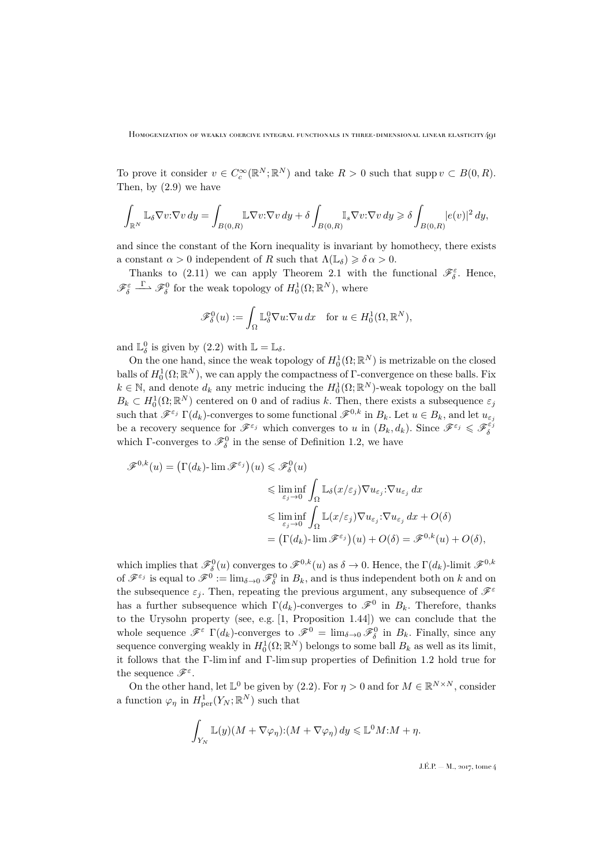To prove it consider  $v \in C_c^{\infty}(\mathbb{R}^N;\mathbb{R}^N)$  and take  $R > 0$  such that supp  $v \subset B(0,R)$ . Then, by [\(2.9\)](#page-8-2) we have

$$
\int_{\mathbb{R}^N} \mathbb{L}_\delta \nabla v: \nabla v \, dy = \int_{B(0,R)} \mathbb{L} \nabla v: \nabla v \, dy + \delta \int_{B(0,R)} \mathbb{I}_s \nabla v: \nabla v \, dy \geqslant \delta \int_{B(0,R)} |e(v)|^2 \, dy,
$$

and since the constant of the Korn inequality is invariant by homothecy, there exists a constant  $\alpha > 0$  independent of R such that  $\Lambda(\mathbb{L}_{\delta}) \geq \delta \alpha > 0$ .

Thanks to [\(2.11\)](#page-8-3) we can apply Theorem [2.1](#page-7-1) with the functional  $\mathscr{F}_{\delta}^{\varepsilon}$ . Hence,  $\mathscr{F}_{\delta}^{\varepsilon} \xrightarrow{\Gamma} \mathscr{F}_{\delta}^{0}$  for the weak topology of  $H_0^1(\Omega;\mathbb{R}^N)$ , where

$$
\mathscr{F}_{\delta}^{0}(u) := \int_{\Omega} \mathbb{L}_{\delta}^{0} \nabla u \cdot \nabla u \, dx \quad \text{for } u \in H_{0}^{1}(\Omega, \mathbb{R}^{N}),
$$

and  $\mathbb{L}_{\delta}^{0}$  is given by [\(2.2\)](#page-6-2) with  $\mathbb{L} = \mathbb{L}_{\delta}$ .

On the one hand, since the weak topology of  $H_0^1(\Omega;\mathbb{R}^N)$  is metrizable on the closed balls of  $H_0^1(\Omega;\mathbb{R}^N)$ , we can apply the compactness of  $\Gamma$ -convergence on these balls. Fix  $k \in \mathbb{N}$ , and denote  $d_k$  any metric inducing the  $H_0^1(\Omega;\mathbb{R}^N)$ -weak topology on the ball  $B_k \subset H_0^1(\Omega;\mathbb{R}^N)$  centered on 0 and of radius k. Then, there exists a subsequence  $\varepsilon_j$ such that  $\mathscr{F}^{\varepsilon_j} \Gamma(d_k)$ -converges to some functional  $\mathscr{F}^{0,k}$  in  $B_k$ . Let  $u \in B_k$ , and let  $u_{\varepsilon_j}$ be a recovery sequence for  $\mathscr{F}^{\varepsilon_j}$  which converges to u in  $(B_k, d_k)$ . Since  $\mathscr{F}^{\varepsilon_j} \leqslant \mathscr{F}^{\varepsilon_j}_{\delta}$ which  $\Gamma$ -converges to  $\mathscr{F}_{\delta}^0$  in the sense of Definition [1.2,](#page-6-1) we have

$$
\mathscr{F}^{0,k}(u) = \left(\Gamma(d_k) \text{-}\lim \mathscr{F}^{\varepsilon_j}\right)(u) \leqslant \mathscr{F}^0_{\delta}(u)
$$
  

$$
\leqslant \liminf_{\varepsilon_j \to 0} \int_{\Omega} \mathbb{L}_{\delta}(x/\varepsilon_j) \nabla u_{\varepsilon_j} : \nabla u_{\varepsilon_j} dx
$$
  

$$
\leqslant \liminf_{\varepsilon_j \to 0} \int_{\Omega} \mathbb{L}(x/\varepsilon_j) \nabla u_{\varepsilon_j} : \nabla u_{\varepsilon_j} dx + O(\delta)
$$
  

$$
= \left(\Gamma(d_k) \text{-}\lim \mathscr{F}^{\varepsilon_j}\right)(u) + O(\delta) = \mathscr{F}^{0,k}(u) + O(\delta),
$$

which implies that  $\mathscr{F}_{\delta}^{0}(u)$  converges to  $\mathscr{F}^{0,k}(u)$  as  $\delta \to 0$ . Hence, the  $\Gamma(d_k)$ -limit  $\mathscr{F}^{0,k}$ of  $\mathscr{F}^{\varepsilon_j}$  is equal to  $\mathscr{F}^0 := \lim_{\delta \to 0} \mathscr{F}^0_{\delta}$  in  $B_k$ , and is thus independent both on k and on the subsequence  $\varepsilon_i$ . Then, repeating the previous argument, any subsequence of  $\mathscr{F}^{\varepsilon}$ has a further subsequence which  $\Gamma(d_k)$ -converges to  $\mathscr{F}^0$  in  $B_k$ . Therefore, thanks to the Urysohn property (see, e.g. [1, Proposition 1.44]) we can conclude that the whole sequence  $\mathscr{F}^{\varepsilon} \Gamma(d_k)$ -converges to  $\mathscr{F}^0 = \lim_{\delta \to 0} \mathscr{F}^0_{\delta}$  in  $B_k$ . Finally, since any sequence converging weakly in  $H_0^1(\Omega;\mathbb{R}^N)$  belongs to some ball  $B_k$  as well as its limit, it follows that the Γ-lim inf and Γ-lim sup properties of Definition [1.2](#page-6-1) hold true for the sequence  $\mathscr{F}^\varepsilon$ .

On the other hand, let  $\mathbb{L}^0$  be given by [\(2.2\)](#page-6-2). For  $\eta > 0$  and for  $M \in \mathbb{R}^{N \times N}$ , consider a function  $\varphi_{\eta}$  in  $H^1_{\text{per}}(Y_N; \mathbb{R}^N)$  such that

$$
\int_{Y_N} \mathbb{L}(y)(M + \nabla \varphi_\eta) \cdot (M + \nabla \varphi_\eta) \, dy \leq \mathbb{L}^0 M \cdot M + \eta.
$$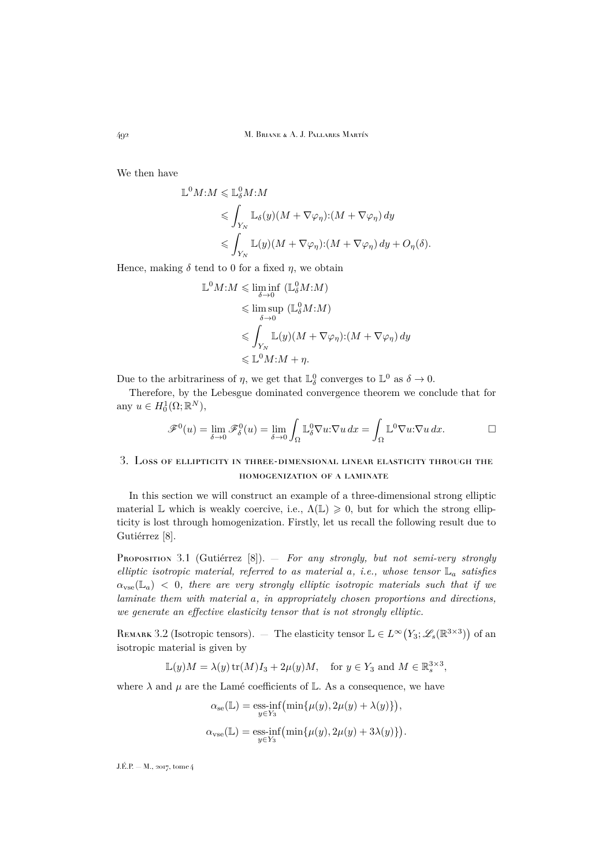492 M. Briane & A. J. Pallares Martín

We then have

 $\mathbb{L}$ 

$$
{}^{0}M:M \leq \mathbb{L}^{0}_{\delta}M:M
$$
  
\n
$$
\leq \int_{Y_{N}} \mathbb{L}_{\delta}(y)(M + \nabla \varphi_{\eta}) \cdot (M + \nabla \varphi_{\eta}) dy
$$
  
\n
$$
\leq \int_{Y_{N}} \mathbb{L}(y)(M + \nabla \varphi_{\eta}) \cdot (M + \nabla \varphi_{\eta}) dy + O_{\eta}(\delta).
$$

Hence, making  $\delta$  tend to 0 for a fixed  $\eta$ , we obtain

$$
\mathbb{L}^0 M: M \leq \liminf_{\delta \to 0} (\mathbb{L}^0_\delta M: M)
$$
  
\n
$$
\leq \limsup_{\delta \to 0} (\mathbb{L}^0_\delta M: M)
$$
  
\n
$$
\leq \int_{Y_N} \mathbb{L}(y) (M + \nabla \varphi_\eta) : (M + \nabla \varphi_\eta) dy
$$
  
\n
$$
\leq \mathbb{L}^0 M: M + \eta.
$$

Due to the arbitrariness of  $\eta$ , we get that  $\mathbb{L}_{\delta}^0$  converges to  $\mathbb{L}^0$  as  $\delta \to 0$ .

Therefore, by the Lebesgue dominated convergence theorem we conclude that for any  $u \in H_0^1(\Omega; \mathbb{R}^N)$ ,

$$
\mathscr{F}^0(u) = \lim_{\delta \to 0} \mathscr{F}^0_{\delta}(u) = \lim_{\delta \to 0} \int_{\Omega} \mathbb{L}_{\delta}^0 \nabla u \cdot \nabla u \, dx = \int_{\Omega} \mathbb{L}^0 \nabla u \cdot \nabla u \, dx. \qquad \Box
$$

## <span id="page-10-0"></span>3. Loss of ellipticity in three-dimensional linear elasticity through the homogenization of a laminate

In this section we will construct an example of a three-dimensional strong elliptic material L which is weakly coercive, i.e.,  $\Lambda(\mathbb{L}) \geq 0$ , but for which the strong ellipticity is lost through homogenization. Firstly, let us recall the following result due to Gutiérrez [\[8\]](#page-32-6).

<span id="page-10-2"></span>Proposition 3.1 (Gutiérrez [\[8\]](#page-32-6)). — *For any strongly, but not semi-very strongly elliptic isotropic material, referred to as material* a*, i.e., whose tensor* L<sup>a</sup> *satisfies*  $\alpha_{\text{vse}}(\mathbb{L}_a) < 0$ , there are very strongly elliptic isotropic materials such that if we *laminate them with material* a*, in appropriately chosen proportions and directions, we generate an effective elasticity tensor that is not strongly elliptic.*

<span id="page-10-1"></span>REMARK 3.2 (Isotropic tensors).  $-$  The elasticity tensor  $\mathbb{L} \in L^{\infty}(Y_3; \mathscr{L}_s(\mathbb{R}^{3\times3}))$  of an isotropic material is given by

$$
\mathbb{L}(y)M = \lambda(y)\operatorname{tr}(M)I_3 + 2\mu(y)M, \quad \text{for } y \in Y_3 \text{ and } M \in \mathbb{R}_s^{3 \times 3},
$$

where  $\lambda$  and  $\mu$  are the Lamé coefficients of L. As a consequence, we have

$$
\begin{aligned} \alpha_{\text{se}}(\mathbb{L}) & = \underset{y \in Y_3}{\text{ess-inf}} \left( \min \{ \mu(y), 2\mu(y) + \lambda(y) \} \right), \\ \alpha_{\text{vse}}(\mathbb{L}) & = \underset{y \in Y_3}{\text{ess-inf}} \left( \min \{ \mu(y), 2\mu(y) + 3\lambda(y) \} \right). \end{aligned}
$$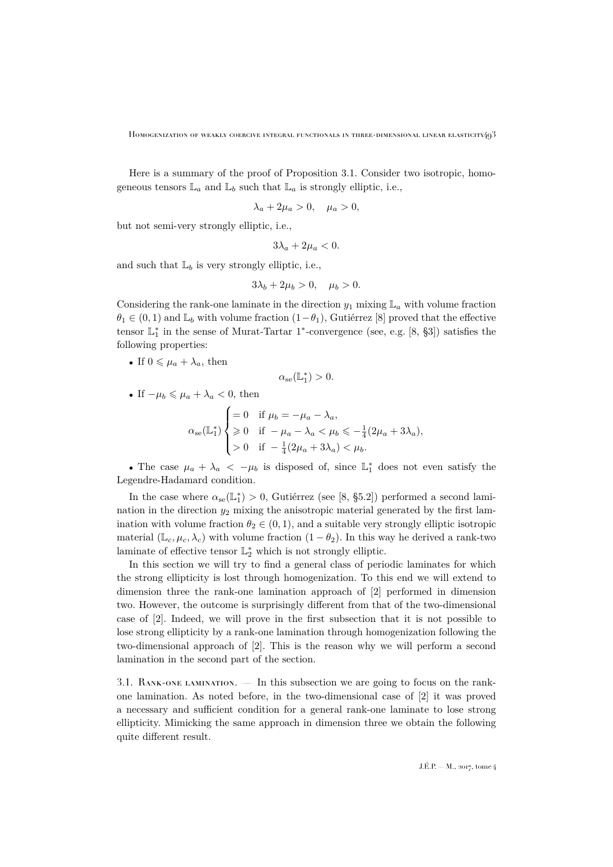Here is a summary of the proof of Proposition [3.1.](#page-10-2) Consider two isotropic, homogeneous tensors  $\mathbb{L}_a$  and  $\mathbb{L}_b$  such that  $\mathbb{L}_a$  is strongly elliptic, i.e.,

$$
\lambda_a + 2\mu_a > 0, \quad \mu_a > 0,
$$

but not semi-very strongly elliptic, i.e.,

$$
3\lambda_a+2\mu_a<0.
$$

and such that  $\mathbb{L}_b$  is very strongly elliptic, i.e.,

$$
3\lambda_b + 2\mu_b > 0, \quad \mu_b > 0.
$$

Considering the rank-one laminate in the direction  $y_1$  mixing  $\mathbb{L}_a$  with volume fraction  $\theta_1 \in (0,1)$  and  $\mathbb{L}_b$  with volume fraction  $(1-\theta_1)$ , Gutiérrez [\[8\]](#page-32-6) proved that the effective tensor  $\mathbb{L}_1^*$  in the sense of Murat-Tartar 1<sup>\*</sup>-convergence (see, e.g. [\[8,](#page-32-6) §3]) satisfies the following properties:

• If  $0 \leq \mu_a + \lambda_a$ , then

$$
\alpha_{se}(\mathbb{L}_1^*) > 0.
$$

• If  $-\mu_b \leq \mu_a + \lambda_a < 0$ , then

$$
\alpha_{\rm se}(\mathbb{L}_1^*) \begin{cases} = 0 & \text{if } \mu_b = -\mu_a - \lambda_a, \\ \geqslant 0 & \text{if } -\mu_a - \lambda_a < \mu_b \leqslant -\frac{1}{4}(2\mu_a + 3\lambda_a), \\ > 0 & \text{if } -\frac{1}{4}(2\mu_a + 3\lambda_a) < \mu_b. \end{cases}
$$

• The case  $\mu_a + \lambda_a < -\mu_b$  is disposed of, since  $\mathbb{L}_1^*$  does not even satisfy the Legendre-Hadamard condition.

In the case where  $\alpha_{se}(\mathbb{L}_1^*) > 0$ , Gutiérrez (see [\[8,](#page-32-6) §5.2]) performed a second lamination in the direction  $y_2$  mixing the anisotropic material generated by the first lamination with volume fraction  $\theta_2 \in (0,1)$ , and a suitable very strongly elliptic isotropic material ( $\mathbb{L}_{c}, \mu_{c}, \lambda_{c}$ ) with volume fraction (1 –  $\theta_{2}$ ). In this way he derived a rank-two laminate of effective tensor  $\mathbb{L}_2^*$  which is not strongly elliptic.

In this section we will try to find a general class of periodic laminates for which the strong ellipticity is lost through homogenization. To this end we will extend to dimension three the rank-one lamination approach of [\[2\]](#page-32-7) performed in dimension two. However, the outcome is surprisingly different from that of the two-dimensional case of [\[2\]](#page-32-7). Indeed, we will prove in the first subsection that it is not possible to lose strong ellipticity by a rank-one lamination through homogenization following the two-dimensional approach of [\[2\]](#page-32-7). This is the reason why we will perform a second lamination in the second part of the section.

<span id="page-11-0"></span>3.1. Rank-one lamination. — In this subsection we are going to focus on the rankone lamination. As noted before, in the two-dimensional case of [\[2\]](#page-32-7) it was proved a necessary and sufficient condition for a general rank-one laminate to lose strong ellipticity. Mimicking the same approach in dimension three we obtain the following quite different result.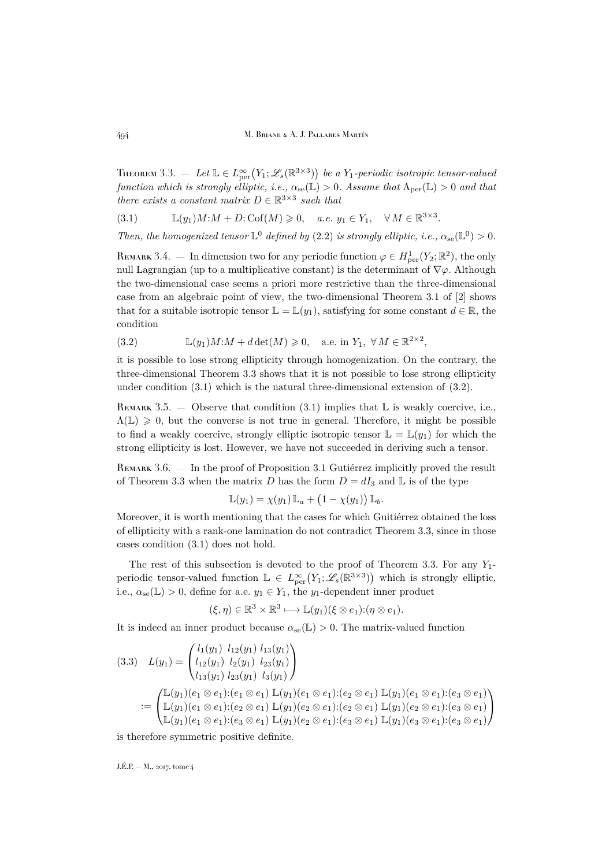<span id="page-12-0"></span>THEOREM 3.3.  $-$  Let  $\mathbb{L} \in L^{\infty}_{per}(Y_1; \mathscr{L}_s(\mathbb{R}^{3\times3}))$  be a Y<sub>1</sub>-periodic isotropic tensor-valued *function which is strongly elliptic, i.e.,*  $\alpha_{se}(\mathbb{L}) > 0$ *. Assume that*  $\Lambda_{per}(\mathbb{L}) > 0$  *and that there exists a constant matrix*  $D \in \mathbb{R}^{3 \times 3}$  *such that* 

<span id="page-12-1"></span>
$$
(3.1) \qquad \mathbb{L}(y_1)M:M+D:\mathrm{Cof}(M)\geq 0, \quad a.e. \ y_1\in Y_1, \quad \forall M \in \mathbb{R}^{3\times 3}.
$$

*Then, the homogenized tensor*  $\mathbb{L}^0$  *defined by* [\(2.2\)](#page-6-2) *is strongly elliptic, i.e.,*  $\alpha_{se}(\mathbb{L}^0) > 0$ *.* 

REMARK 3.4. – In dimension two for any periodic function  $\varphi \in H^1_{\text{per}}(Y_2; \mathbb{R}^2)$ , the only null Lagrangian (up to a multiplicative constant) is the determinant of  $\nabla \varphi$ . Although the two-dimensional case seems a priori more restrictive than the three-dimensional case from an algebraic point of view, the two-dimensional Theorem 3.1 of [\[2\]](#page-32-7) shows that for a suitable isotropic tensor  $\mathbb{L} = \mathbb{L}(y_1)$ , satisfying for some constant  $d \in \mathbb{R}$ , the condition

<span id="page-12-2"></span>(3.2) 
$$
\mathbb{L}(y_1)M:M + d \det(M) \geq 0, \quad \text{a.e. in } Y_1, \forall M \in \mathbb{R}^{2 \times 2},
$$

it is possible to lose strong ellipticity through homogenization. On the contrary, the three-dimensional Theorem [3.3](#page-12-0) shows that it is not possible to lose strong ellipticity under condition [\(3.1\)](#page-12-1) which is the natural three-dimensional extension of [\(3.2\)](#page-12-2).

REMARK 3.5. — Observe that condition [\(3.1\)](#page-12-1) implies that  $\mathbb L$  is weakly coercive, i.e.,  $\Lambda(\mathbb{L}) \geq 0$ , but the converse is not true in general. Therefore, it might be possible to find a weakly coercive, strongly elliptic isotropic tensor  $\mathbb{L} = \mathbb{L}(y_1)$  for which the strong ellipticity is lost. However, we have not succeeded in deriving such a tensor.

REMARK 3.6. — In the proof of Proposition [3.1](#page-10-2) Gutiérrez implicitly proved the result of Theorem [3.3](#page-12-0) when the matrix D has the form  $D = dI_3$  and L is of the type

$$
\mathbb{L}(y_1) = \chi(y_1) \, \mathbb{L}_a + (1 - \chi(y_1)) \, \mathbb{L}_b.
$$

Moreover, it is worth mentioning that the cases for which Guitiérrez obtained the loss of ellipticity with a rank-one lamination do not contradict Theorem [3.3,](#page-12-0) since in those cases condition [\(3.1\)](#page-12-1) does not hold.

The rest of this subsection is devoted to the proof of Theorem [3.3.](#page-12-0) For any  $Y_1$ periodic tensor-valued function  $\mathbb{L} \in L^{\infty}_{per}(Y_1; \mathscr{L}_s(\mathbb{R}^{3\times3}))$  which is strongly elliptic, i.e.,  $\alpha_{se}(\mathbb{L}) > 0$ , define for a.e.  $y_1 \in Y_1$ , the  $y_1$ -dependent inner product

$$
(\xi, \eta) \in \mathbb{R}^3 \times \mathbb{R}^3 \longmapsto \mathbb{L}(y_1)(\xi \otimes e_1) : (\eta \otimes e_1).
$$

It is indeed an inner product because  $\alpha_{se}(\mathbb{L}) > 0$ . The matrix-valued function

<span id="page-12-3"></span>
$$
(3.3) \quad L(y_1) = \begin{pmatrix} l_1(y_1) & l_{12}(y_1) & l_{13}(y_1) \\ l_{12}(y_1) & l_{23}(y_1) & l_{23}(y_1) \\ l_{13}(y_1) & l_{23}(y_1) & l_{3}(y_1) \end{pmatrix}
$$
  
:= 
$$
\begin{pmatrix} \mathbb{L}(y_1)(e_1 \otimes e_1):(e_1 \otimes e_1) \mathbb{L}(y_1)(e_1 \otimes e_1):(e_2 \otimes e_1) \mathbb{L}(y_1)(e_1 \otimes e_1):(e_3 \otimes e_1) \\ \mathbb{L}(y_1)(e_1 \otimes e_1):(e_2 \otimes e_1) \mathbb{L}(y_1)(e_2 \otimes e_1):(e_2 \otimes e_1) \mathbb{L}(y_1)(e_2 \otimes e_1):(e_3 \otimes e_1) \\ \mathbb{L}(y_1)(e_1 \otimes e_1):(e_3 \otimes e_1) \mathbb{L}(y_1)(e_2 \otimes e_1):(e_3 \otimes e_1) \mathbb{L}(y_1)(e_3 \otimes e_1):(e_3 \otimes e_1) \end{pmatrix}
$$

is therefore symmetric positive definite.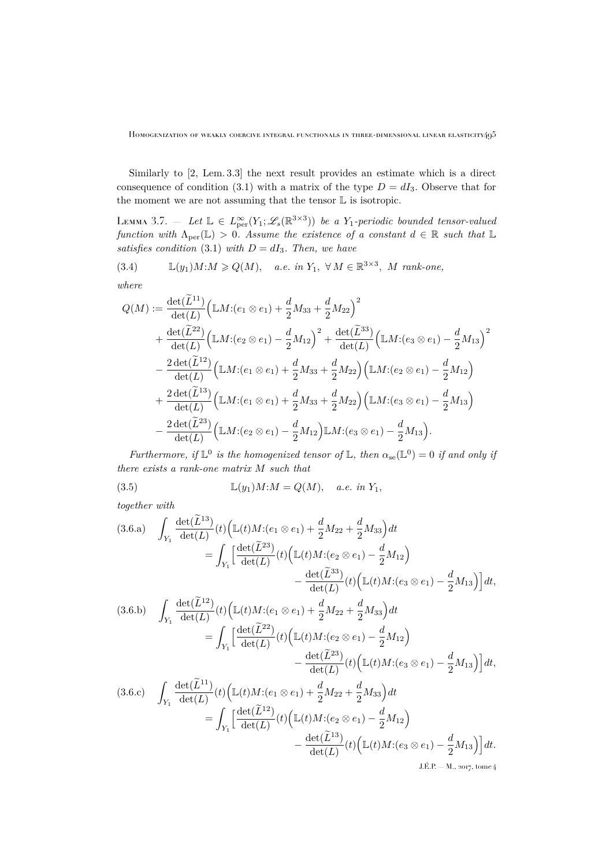Similarly to [\[2,](#page-32-7) Lem. 3.3] the next result provides an estimate which is a direct consequence of condition [\(3.1\)](#page-12-1) with a matrix of the type  $D = dI_3$ . Observe that for the moment we are not assuming that the tensor  $\mathbb L$  is isotropic.

<span id="page-13-1"></span>LEMMA 3.7.  $-$  Let  $\mathbb{L} \in L^{\infty}_{per}(Y_1; \mathscr{L}_s(\mathbb{R}^{3\times3}))$  be a Y<sub>1</sub>-periodic bounded tensor-valued *function with*  $\Lambda_{\text{per}}(\mathbb{L}) > 0$ . Assume the existence of a constant  $d \in \mathbb{R}$  such that  $\mathbb{L}$ *satisfies condition* [\(3.1\)](#page-12-1) *with*  $D = dI_3$ *. Then, we have* 

<span id="page-13-2"></span>(3.4) 
$$
\mathbb{L}(y_1)M:M \geq Q(M), \quad a.e. \in Y_1, \forall M \in \mathbb{R}^{3 \times 3}, M \text{ rank-one},
$$

*where*

$$
Q(M) := \frac{\det(\tilde{L}^{11})}{\det(L)} \Big( \mathbb{L}M : (e_1 \otimes e_1) + \frac{d}{2}M_{33} + \frac{d}{2}M_{22} \Big)^2 + \frac{\det(\tilde{L}^{22})}{\det(L)} \Big( \mathbb{L}M : (e_2 \otimes e_1) - \frac{d}{2}M_{12} \Big)^2 + \frac{\det(\tilde{L}^{33})}{\det(L)} \Big( \mathbb{L}M : (e_3 \otimes e_1) - \frac{d}{2}M_{13} \Big)^2 - \frac{2 \det(\tilde{L}^{12})}{\det(L)} \Big( \mathbb{L}M : (e_1 \otimes e_1) + \frac{d}{2}M_{33} + \frac{d}{2}M_{22} \Big) \Big( \mathbb{L}M : (e_2 \otimes e_1) - \frac{d}{2}M_{12} \Big) + \frac{2 \det(\tilde{L}^{13})}{\det(L)} \Big( \mathbb{L}M : (e_1 \otimes e_1) + \frac{d}{2}M_{33} + \frac{d}{2}M_{22} \Big) \Big( \mathbb{L}M : (e_3 \otimes e_1) - \frac{d}{2}M_{13} \Big) - \frac{2 \det(\tilde{L}^{23})}{\det(L)} \Big( \mathbb{L}M : (e_2 \otimes e_1) - \frac{d}{2}M_{12} \Big) \mathbb{L}M : (e_3 \otimes e_1) - \frac{d}{2}M_{13} \Big).
$$

*Furthermore, if*  $\mathbb{L}^0$  *is the homogenized tensor of*  $\mathbb{L}$ *, then*  $\alpha_{se}(\mathbb{L}^0) = 0$  *if and only if there exists a rank-one matrix* M *such that*

<span id="page-13-6"></span>(3.5) 
$$
\mathbb{L}(y_1)M:M = Q(M), \quad a.e. \text{ in } Y_1,
$$

<span id="page-13-0"></span>*together with*

<span id="page-13-5"></span><span id="page-13-4"></span><span id="page-13-3"></span>
$$
(3.6.a) \int_{Y_1} \frac{\det(\tilde{L}^{13})}{\det(L)}(t) \Big( \mathbb{L}(t)M:(e_1 \otimes e_1) + \frac{d}{2}M_{22} + \frac{d}{2}M_{33} \Big) dt \n= \int_{Y_1} \left[ \frac{\det(\tilde{L}^{23})}{\det(L)}(t) \Big( \mathbb{L}(t)M:(e_2 \otimes e_1) - \frac{d}{2}M_{12} \Big) \right. \n- \frac{\det(\tilde{L}^{33})}{\det(L)}(t) \Big( \mathbb{L}(t)M:(e_3 \otimes e_1) - \frac{d}{2}M_{13} \Big) \Big] dt,
$$
\n
$$
(3.6.b) \int_{Y_1} \frac{\det(\tilde{L}^{12})}{\det(L)}(t) \Big( \mathbb{L}(t)M:(e_1 \otimes e_1) + \frac{d}{2}M_{22} + \frac{d}{2}M_{33} \Big) dt \n= \int_{Y_1} \left[ \frac{\det(\tilde{L}^{22})}{\det(L)}(t) \Big( \mathbb{L}(t)M:(e_2 \otimes e_1) - \frac{d}{2}M_{12} \Big) \right. \n- \frac{\det(\tilde{L}^{23})}{\det(L)}(t) \Big( \mathbb{L}(t)M:(e_3 \otimes e_1) - \frac{d}{2}M_{13} \Big) \Big] dt,
$$
\n
$$
(3.6.c) \int_{Y_1} \frac{\det(\tilde{L}^{11})}{\det(L)}(t) \Big( \mathbb{L}(t)M:(e_1 \otimes e_1) + \frac{d}{2}M_{22} + \frac{d}{2}M_{33} \Big) dt \n= \int_{Y_1} \left[ \frac{\det(\tilde{L}^{12})}{\det(L)}(t) \Big( \mathbb{L}(t)M:(e_2 \otimes e_1) - \frac{d}{2}M_{12} \Big) \right. \n- \frac{\det(\tilde{L}^{13})}{\det(L)}(t) \Big( \mathbb{L}(t)M:(e_3 \otimes e_1) - \frac{d}{2}M_{13} \Big) \Big] dt.
$$
\nLif.e. - M., 2017, to me4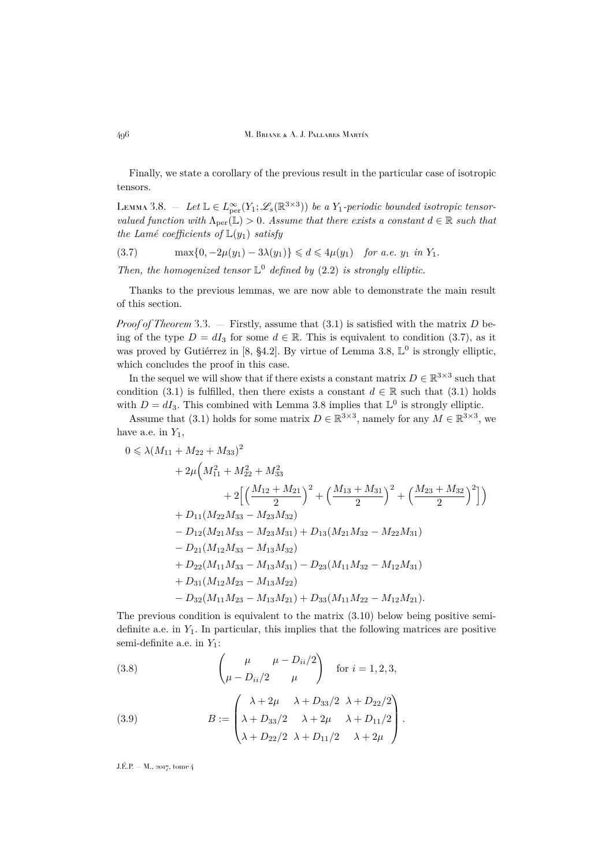496 M. Briane & A. J. Pallares Martín

Finally, we state a corollary of the previous result in the particular case of isotropic tensors.

<span id="page-14-1"></span>LEMMA 3.8. – Let  $\mathbb{L} \in L^{\infty}_{per}(Y_1; \mathscr{L}_s(\mathbb{R}^{3\times3}))$  be a Y<sub>1</sub>-periodic bounded isotropic tensor*valued function with*  $\Lambda_{\text{per}}(\mathbb{L}) > 0$ . Assume that there exists a constant  $d \in \mathbb{R}$  such that *the Lamé coefficients of*  $\mathbb{L}(y_1)$  *satisfy* 

<span id="page-14-0"></span>
$$
(3.7) \quad \max\{0, -2\mu(y_1) - 3\lambda(y_1)\} \leq d \leq 4\mu(y_1) \quad \text{for a.e. } y_1 \text{ in } Y_1.
$$

*Then, the homogenized tensor* L <sup>0</sup> *defined by* [\(2.2\)](#page-6-2) *is strongly elliptic.*

Thanks to the previous lemmas, we are now able to demonstrate the main result of this section.

*Proof of Theorem* [3.3.](#page-12-0)  $-$  Firstly, assume that  $(3.1)$  is satisfied with the matrix D being of the type  $D = dI_3$  for some  $d \in \mathbb{R}$ . This is equivalent to condition [\(3.7\)](#page-14-0), as it was proved by Gutiérrez in [\[8,](#page-32-6) §4.2]. By virtue of Lemma [3.8,](#page-14-1)  $\mathbb{L}^0$  is strongly elliptic, which concludes the proof in this case.

In the sequel we will show that if there exists a constant matrix  $D \in \mathbb{R}^{3 \times 3}$  such that condition [\(3.1\)](#page-12-1) is fulfilled, then there exists a constant  $d \in \mathbb{R}$  such that (3.1) holds with  $D = dI_3$ . This combined with Lemma [3.8](#page-14-1) implies that  $\mathbb{L}^0$  is strongly elliptic.

Assume that [\(3.1\)](#page-12-1) holds for some matrix  $D \in \mathbb{R}^{3\times 3}$ , namely for any  $M \in \mathbb{R}^{3\times 3}$ , we have a.e. in  $Y_1$ ,

$$
0 \le \lambda (M_{11} + M_{22} + M_{33})^2
$$
  
+  $2\mu \left(M_{11}^2 + M_{22}^2 + M_{33}^2 + 2\left[\left(\frac{M_{12} + M_{21}}{2}\right)^2 + \left(\frac{M_{13} + M_{31}}{2}\right)^2 + \left(\frac{M_{23} + M_{32}}{2}\right)^2\right]\right)$   
+  $D_{11}(M_{22}M_{33} - M_{23}M_{32})$   
-  $D_{12}(M_{21}M_{33} - M_{23}M_{31}) + D_{13}(M_{21}M_{32} - M_{22}M_{31})$   
-  $D_{21}(M_{12}M_{33} - M_{13}M_{32})$   
+  $D_{22}(M_{11}M_{33} - M_{13}M_{31}) - D_{23}(M_{11}M_{32} - M_{12}M_{31})$   
+  $D_{31}(M_{12}M_{23} - M_{13}M_{22})$   
-  $D_{32}(M_{11}M_{23} - M_{13}M_{21}) + D_{33}(M_{11}M_{22} - M_{12}M_{21}).$ 

The previous condition is equivalent to the matrix  $(3.10)$  below being positive semidefinite a.e. in  $Y_1$ . In particular, this implies that the following matrices are positive semi-definite a.e. in  $Y_1$ :

<span id="page-14-2"></span>(3.8) 
$$
\begin{pmatrix} \mu & \mu - D_{ii}/2 \\ \mu - D_{ii}/2 & \mu \end{pmatrix} \text{ for } i = 1, 2, 3,
$$

<span id="page-14-3"></span>(3.9) 
$$
B := \begin{pmatrix} \lambda + 2\mu & \lambda + D_{33}/2 & \lambda + D_{22}/2 \\ \lambda + D_{33}/2 & \lambda + 2\mu & \lambda + D_{11}/2 \\ \lambda + D_{22}/2 & \lambda + D_{11}/2 & \lambda + 2\mu \end{pmatrix}.
$$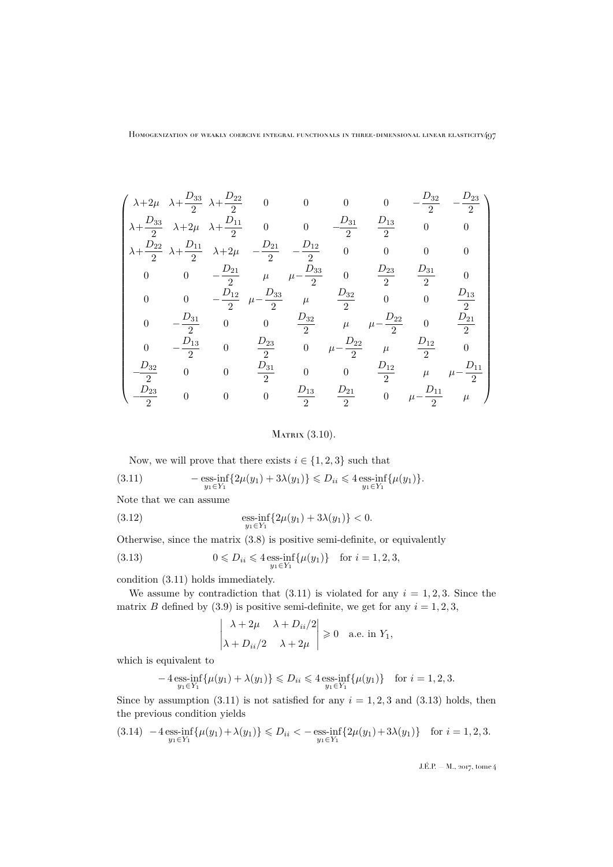$$
\begin{pmatrix}\n\lambda+2\mu & \lambda+\frac{D_{33}}{2} & \lambda+\frac{D_{22}}{2} & 0 & 0 & 0 & 0 & -\frac{D_{32}}{2} & -\frac{D_{23}}{2} \\
\lambda+\frac{D_{33}}{2} & \lambda+2\mu & \lambda+\frac{D_{11}}{2} & 0 & 0 & -\frac{D_{31}}{2} & \frac{D_{13}}{2} & 0 & 0 \\
\lambda+\frac{D_{22}}{2} & \lambda+\frac{D_{11}}{2} & \lambda+2\mu & -\frac{D_{21}}{2} & -\frac{D_{12}}{2} & 0 & 0 & 0 & 0 \\
0 & 0 & -\frac{D_{21}}{2} & \mu & \mu-\frac{D_{33}}{2} & 0 & \frac{D_{23}}{2} & \frac{D_{31}}{2} & 0 \\
0 & 0 & -\frac{D_{12}}{2} & \mu-\frac{D_{33}}{2} & \mu & \frac{D_{32}}{2} & 0 & 0 & \frac{D_{13}}{2} \\
0 & -\frac{D_{31}}{2} & 0 & 0 & \frac{D_{32}}{2} & \mu & \mu-\frac{D_{22}}{2} & 0 & \frac{D_{21}}{2} \\
0 & -\frac{D_{13}}{2} & 0 & \frac{D_{23}}{2} & 0 & \mu-\frac{D_{22}}{2} & \mu & \frac{D_{12}}{2} & 0 \\
\frac{D_{32}}{2} & 0 & 0 & \frac{D_{31}}{2} & 0 & 0 & \frac{D_{12}}{2} & \mu & \mu-\frac{D_{11}}{2} \\
\frac{D_{23}}{2} & 0 & 0 & 0 & \frac{D_{13}}{2} & \frac{D_{21}}{2} & 0 & \mu-\frac{D_{11}}{2} & \mu\n\end{pmatrix}
$$

<span id="page-15-0"></span>
$$
Marray (3.10).
$$

<span id="page-15-1"></span>Now, we will prove that there exists  $i \in \{1, 2, 3\}$  such that

(3.11) 
$$
- \underset{y_1 \in Y_1}{\text{ess-in}} \{2\mu(y_1) + 3\lambda(y_1)\} \leq D_{ii} \leq 4 \underset{y_1 \in Y_1}{\text{ess-in}} \{\mu(y_1)\}.
$$

Note that we can assume

(3.12) 
$$
\underset{y_1 \in Y_1}{\text{ess-in}} \{2\mu(y_1) + 3\lambda(y_1)\} < 0.
$$

Otherwise, since the matrix [\(3.8\)](#page-14-2) is positive semi-definite, or equivalently

(3.13) 
$$
0 \leq D_{ii} \leq 4 \underset{y_1 \in Y_1}{\text{ess-inf}} \{\mu(y_1)\} \text{ for } i = 1, 2, 3,
$$

condition [\(3.11\)](#page-15-1) holds immediately.

We assume by contradiction that  $(3.11)$  is violated for any  $i = 1, 2, 3$ . Since the matrix B defined by [\(3.9\)](#page-14-3) is positive semi-definite, we get for any  $i = 1, 2, 3$ ,

<span id="page-15-2"></span>
$$
\begin{vmatrix} \lambda + 2\mu & \lambda + D_{ii}/2 \\ \lambda + D_{ii}/2 & \lambda + 2\mu \end{vmatrix} \ge 0
$$
 a.e. in  $Y_1$ ,

which is equivalent to

$$
-4 \operatorname*{ess-inf}_{y_1 \in Y_1} {\mu(y_1) + \lambda(y_1)} \le D_{ii} \le 4 \operatorname*{ess-inf}_{y_1 \in Y_1} {\mu(y_1)} \quad \text{for } i = 1, 2, 3.
$$

Since by assumption  $(3.11)$  is not satisfied for any  $i = 1, 2, 3$  and  $(3.13)$  holds, then the previous condition yields

<span id="page-15-3"></span>
$$
(3.14)\ \ -4\operatorname*{ess-int}_{y_1\in Y_1}\{\mu(y_1)+\lambda(y_1)\}\leqslant D_{ii} <-\operatorname*{ess-int}_{y_1\in Y_1}\{2\mu(y_1)+3\lambda(y_1)\}\quad\text{for $i=1,2,3$}.
$$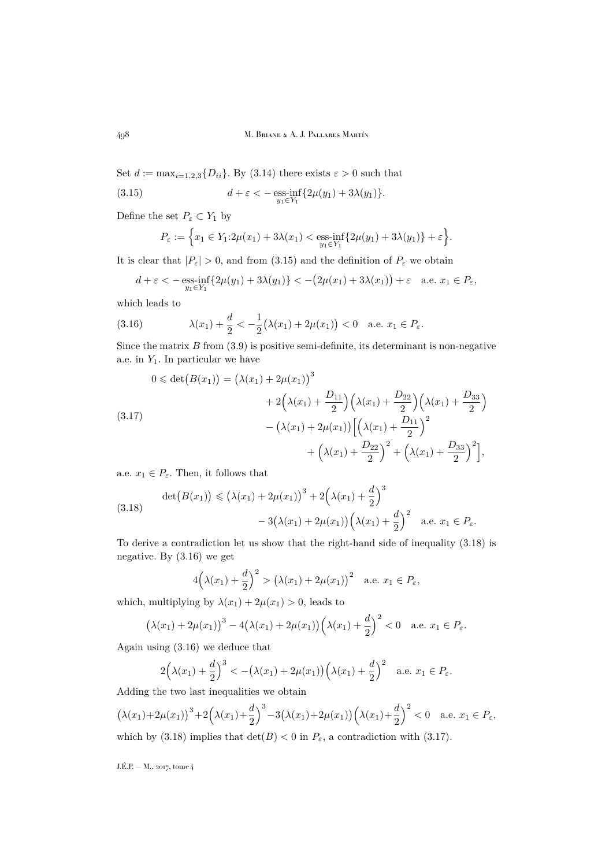Set  $d := \max_{i=1,2,3} \{D_{ii}\}\)$ . By [\(3.14\)](#page-15-3) there exists  $\varepsilon > 0$  such that

(3.15) 
$$
d + \varepsilon < -\underset{y_1 \in Y_1}{\text{ess-inf}} \{2\mu(y_1) + 3\lambda(y_1)\}.
$$

Define the set  $P_\varepsilon\subset Y_1$  by

<span id="page-16-0"></span>
$$
P_{\varepsilon} := \Big\{ x_1 \in Y_1 : 2\mu(x_1) + 3\lambda(x_1) < \underset{y_1 \in Y_1}{\text{ess-inf}} \{ 2\mu(y_1) + 3\lambda(y_1) \} + \varepsilon \Big\}.
$$

It is clear that  $|P_{\varepsilon}| > 0$ , and from [\(3.15\)](#page-16-0) and the definition of  $P_{\varepsilon}$  we obtain

<span id="page-16-2"></span>
$$
d + \varepsilon < -\operatorname*{\mathrm{ess-inf}}_{y_1 \in Y_1} \{2\mu(y_1) + 3\lambda(y_1)\} < -\big(2\mu(x_1) + 3\lambda(x_1)\big) + \varepsilon \quad \text{a.e. } x_1 \in P_{\varepsilon},
$$

which leads to

(3.16) 
$$
\lambda(x_1) + \frac{d}{2} < -\frac{1}{2}(\lambda(x_1) + 2\mu(x_1)) < 0 \text{ a.e. } x_1 \in P_{\varepsilon}.
$$

Since the matrix  $B$  from  $(3.9)$  is positive semi-definite, its determinant is non-negative a.e. in  $Y_1$ . In particular we have

<span id="page-16-3"></span>
$$
0 \le \det(B(x_1)) = (\lambda(x_1) + 2\mu(x_1))^3
$$
  
+2(\lambda(x\_1) + \frac{D\_{11}}{2})(\lambda(x\_1) + \frac{D\_{22}}{2})(\lambda(x\_1) + \frac{D\_{33}}{2})  
- (\lambda(x\_1) + 2\mu(x\_1))[(\lambda(x\_1) + \frac{D\_{11}}{2})^2  
+ (\lambda(x\_1) + \frac{D\_{22}}{2})^2 + (\lambda(x\_1) + \frac{D\_{33}}{2})^2],

a.e.  $x_1 \in P_{\varepsilon}$ . Then, it follows that

<span id="page-16-1"></span>(3.18) 
$$
\det(B(x_1)) \le (\lambda(x_1) + 2\mu(x_1))^3 + 2(\lambda(x_1) + \frac{d}{2})^3 - 3(\lambda(x_1) + 2\mu(x_1))(\lambda(x_1) + \frac{d}{2})^2 \text{ a.e. } x_1 \in P_{\varepsilon}.
$$

To derive a contradiction let us show that the right-hand side of inequality [\(3.18\)](#page-16-1) is negative. By [\(3.16\)](#page-16-2) we get

$$
4\left(\lambda(x_1) + \frac{d}{2}\right)^2 > \left(\lambda(x_1) + 2\mu(x_1)\right)^2 \quad \text{a.e. } x_1 \in P_{\varepsilon},
$$

which, multiplying by  $\lambda(x_1) + 2\mu(x_1) > 0$ , leads to

$$
(\lambda(x_1)+2\mu(x_1))^3-4(\lambda(x_1)+2\mu(x_1))(\lambda(x_1)+\frac{d}{2})^2<0 \quad \text{a.e. } x_1 \in P_{\varepsilon}.
$$

Again using [\(3.16\)](#page-16-2) we deduce that

$$
2\left(\lambda(x_1)+\frac{d}{2}\right)^3 < -\left(\lambda(x_1)+2\mu(x_1)\right)\left(\lambda(x_1)+\frac{d}{2}\right)^2 \quad \text{a.e. } x_1 \in P_{\varepsilon}.
$$

Adding the two last inequalities we obtain

$$
(\lambda(x_1)+2\mu(x_1))^3+2(\lambda(x_1)+\frac{d}{2})^3-3(\lambda(x_1)+2\mu(x_1))(\lambda(x_1)+\frac{d}{2})^2<0 \quad \text{a.e. } x_1 \in P_{\varepsilon},
$$

which by [\(3.18\)](#page-16-1) implies that  $\det(B) < 0$  in  $P_{\varepsilon}$ , a contradiction with [\(3.17\)](#page-16-3).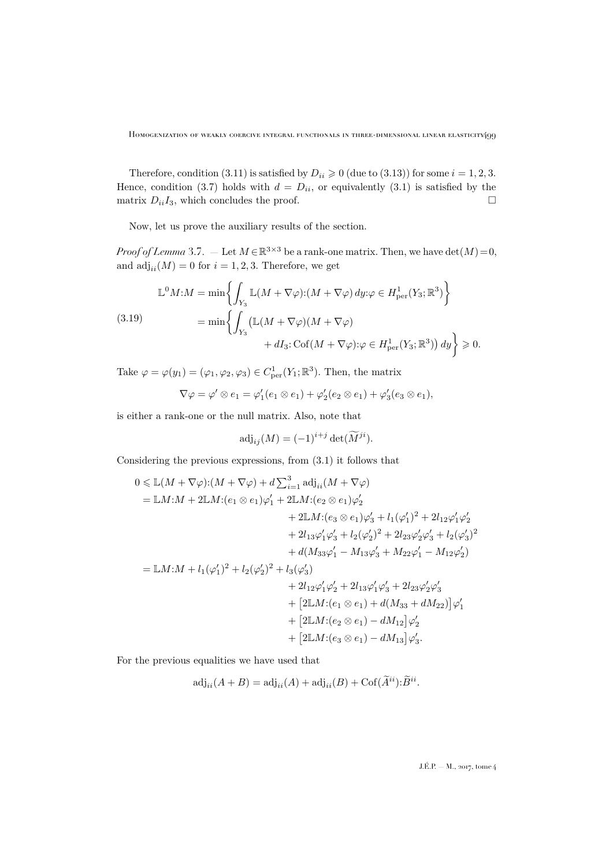Therefore, condition [\(3.11\)](#page-15-1) is satisfied by  $D_{ii} \geq 0$  (due to [\(3.13\)](#page-15-2)) for some  $i = 1, 2, 3$ . Hence, condition [\(3.7\)](#page-14-0) holds with  $d = D_{ii}$ , or equivalently [\(3.1\)](#page-12-1) is satisfied by the matrix  $D_{ii}I_3$ , which concludes the proof.

Now, let us prove the auxiliary results of the section.

*Proof of Lemma* [3.7.](#page-13-1) – Let  $M \in \mathbb{R}^{3 \times 3}$  be a rank-one matrix. Then, we have  $\det(M) = 0$ , and  $\text{adj}_{ii}(M) = 0$  for  $i = 1, 2, 3$ . Therefore, we get

<span id="page-17-0"></span>
$$
\mathbb{L}^{0}M:M = \min\left\{\int_{Y_{3}}\mathbb{L}(M+\nabla\varphi):(M+\nabla\varphi)\,dy:\varphi\in H_{\text{per}}^{1}(Y_{3};\mathbb{R}^{3})\right\}
$$
\n
$$
(3.19) \qquad \qquad = \min\left\{\int_{Y_{3}}\left(\mathbb{L}(M+\nabla\varphi)(M+\nabla\varphi)\right.\n+ dI_{3}: \text{Cof}(M+\nabla\varphi):\varphi\in H_{\text{per}}^{1}(Y_{3};\mathbb{R}^{3})\right)dy\right\}\geq 0.
$$

Take  $\varphi = \varphi(y_1) = (\varphi_1, \varphi_2, \varphi_3) \in C^1_{\text{per}}(Y_1; \mathbb{R}^3)$ . Then, the matrix

$$
\nabla \varphi = \varphi' \otimes e_1 = \varphi_1'(e_1 \otimes e_1) + \varphi_2'(e_2 \otimes e_1) + \varphi_3'(e_3 \otimes e_1),
$$

is either a rank-one or the null matrix. Also, note that

$$
\mathrm{adj}_{ij}(M) = (-1)^{i+j} \det(\widetilde{M}^{ji}).
$$

Considering the previous expressions, from [\(3.1\)](#page-12-1) it follows that

$$
0 \leq \mathbb{L}(M + \nabla \varphi): (M + \nabla \varphi) + d \sum_{i=1}^{3} \text{adj}_{ii}(M + \nabla \varphi)
$$
  
\n
$$
= \mathbb{L}M: M + 2\mathbb{L}M: (e_1 \otimes e_1)\varphi_1' + 2\mathbb{L}M: (e_2 \otimes e_1)\varphi_2'
$$
  
\n
$$
+ 2\mathbb{L}M: (e_3 \otimes e_1)\varphi_3' + l_1(\varphi_1')^2 + 2l_{12}\varphi_1'\varphi_2'
$$
  
\n
$$
+ 2l_{13}\varphi_1'\varphi_3' + l_2(\varphi_2')^2 + 2l_{23}\varphi_2'\varphi_3' + l_2(\varphi_3')^2
$$
  
\n
$$
+ d(M_{33}\varphi_1' - M_{13}\varphi_3' + M_{22}\varphi_1' - M_{12}\varphi_2')
$$
  
\n
$$
= \mathbb{L}M: M + l_1(\varphi_1')^2 + l_2(\varphi_2')^2 + l_3(\varphi_3')
$$
  
\n
$$
+ 2l_{12}\varphi_1'\varphi_2' + 2l_{13}\varphi_1'\varphi_3' + 2l_{23}\varphi_2'\varphi_3'
$$
  
\n
$$
+ [2\mathbb{L}M: (e_1 \otimes e_1) + d(M_{33} + dM_{22})]\varphi_1'
$$
  
\n
$$
+ [2\mathbb{L}M: (e_2 \otimes e_1) - dM_{12}]\varphi_2'
$$
  
\n
$$
+ [2\mathbb{L}M: (e_3 \otimes e_1) - dM_{13}]\varphi_3'.
$$

For the previous equalities we have used that

$$
\mathrm{adj}_{ii}(A+B) = \mathrm{adj}_{ii}(A) + \mathrm{adj}_{ii}(B) + \mathrm{Cof}(\widetilde{A}^{ii}) \cdot \widetilde{B}^{ii}.
$$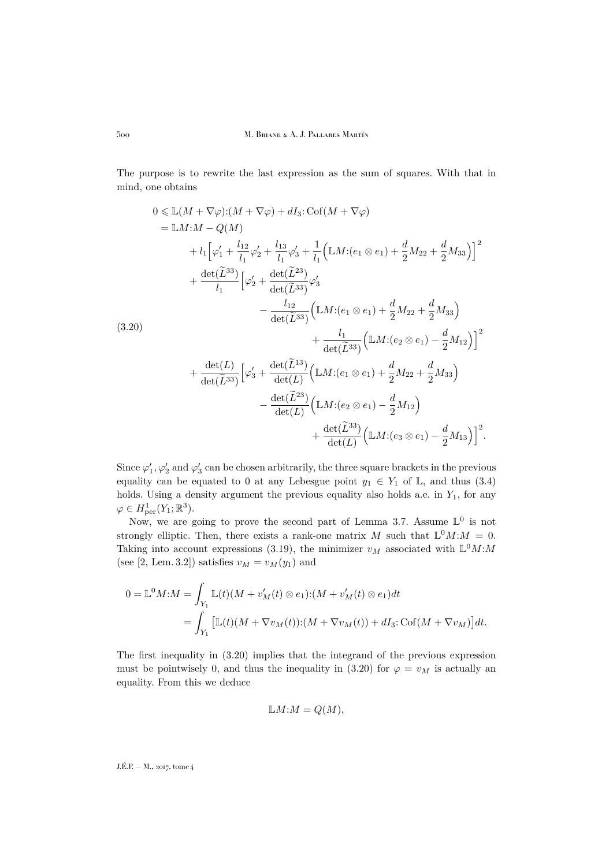The purpose is to rewrite the last expression as the sum of squares. With that in mind, one obtains

<span id="page-18-0"></span>
$$
0 \leq \mathbb{L}(M + \nabla \varphi): (M + \nabla \varphi) + dI_3: \text{Cof}(M + \nabla \varphi)
$$
  
\n
$$
= \mathbb{L}M: M - Q(M)
$$
  
\n
$$
+ l_1 \left[ \varphi_1' + \frac{l_{12}}{l_1} \varphi_2' + \frac{l_{13}}{l_1} \varphi_3' + \frac{1}{l_1} \left( \mathbb{L}M: (e_1 \otimes e_1) + \frac{d}{2} M_{22} + \frac{d}{2} M_{33} \right) \right]^2
$$
  
\n
$$
+ \frac{\det(\tilde{L}^{33})}{l_1} \left[ \varphi_2' + \frac{\det(\tilde{L}^{23})}{\det(\tilde{L}^{33})} \varphi_3' - \frac{l_{12}}{\det(\tilde{L}^{33})} \left( \mathbb{L}M: (e_1 \otimes e_1) + \frac{d}{2} M_{22} + \frac{d}{2} M_{33} \right) \right.
$$
  
\n(3.20)  
\n
$$
+ \frac{l_1}{\det(\tilde{L}^{33})} \left( \mathbb{L}M: (e_2 \otimes e_1) - \frac{d}{2} M_{12} \right) \Big]^2
$$
  
\n
$$
+ \frac{\det(L)}{\det(\tilde{L}^{33})} \left[ \varphi_3' + \frac{\det(\tilde{L}^{13})}{\det(L)} \left( \mathbb{L}M: (e_1 \otimes e_1) + \frac{d}{2} M_{22} + \frac{d}{2} M_{33} \right) \right.
$$
  
\n
$$
- \frac{\det(\tilde{L}^{23})}{\det(L)} \left( \mathbb{L}M: (e_2 \otimes e_1) - \frac{d}{2} M_{12} \right) + \frac{\det(\tilde{L}^{33})}{\det(L)} \left( \mathbb{L}M: (e_3 \otimes e_1) - \frac{d}{2} M_{13} \right) \Big]^2.
$$

Since  $\varphi'_1$ ,  $\varphi'_2$  and  $\varphi'_3$  can be chosen arbitrarily, the three square brackets in the previous equality can be equated to 0 at any Lebesgue point  $y_1 \in Y_1$  of  $\mathbb{L}$ , and thus [\(3.4\)](#page-13-2) holds. Using a density argument the previous equality also holds a.e. in  $Y_1$ , for any  $\varphi \in H^1_{\text{per}}(Y_1; \mathbb{R}^3).$ 

Now, we are going to prove the second part of Lemma [3.7.](#page-13-1) Assume  $\mathbb{L}^0$  is not strongly elliptic. Then, there exists a rank-one matrix M such that  $\mathbb{L}^0 M$ :  $M = 0$ . Taking into account expressions [\(3.19\)](#page-17-0), the minimizer  $v_M$  associated with  $\mathbb{L}^0 M$ : (see [\[2,](#page-32-7) Lem. 3.2]) satisfies  $v_M = v_M(y_1)$  and

$$
0 = \mathbb{L}^0 M: M = \int_{Y_1} \mathbb{L}(t)(M + v'_M(t) \otimes e_1): (M + v'_M(t) \otimes e_1)dt
$$
  
= 
$$
\int_{Y_1} \left[ \mathbb{L}(t)(M + \nabla v_M(t)) : (M + \nabla v_M(t)) + dI_3 : \text{Cof}(M + \nabla v_M) \right] dt.
$$

The first inequality in [\(3.20\)](#page-18-0) implies that the integrand of the previous expression must be pointwisely 0, and thus the inequality in [\(3.20\)](#page-18-0) for  $\varphi = v_M$  is actually an equality. From this we deduce

$$
\mathbb{L}M: M = Q(M),
$$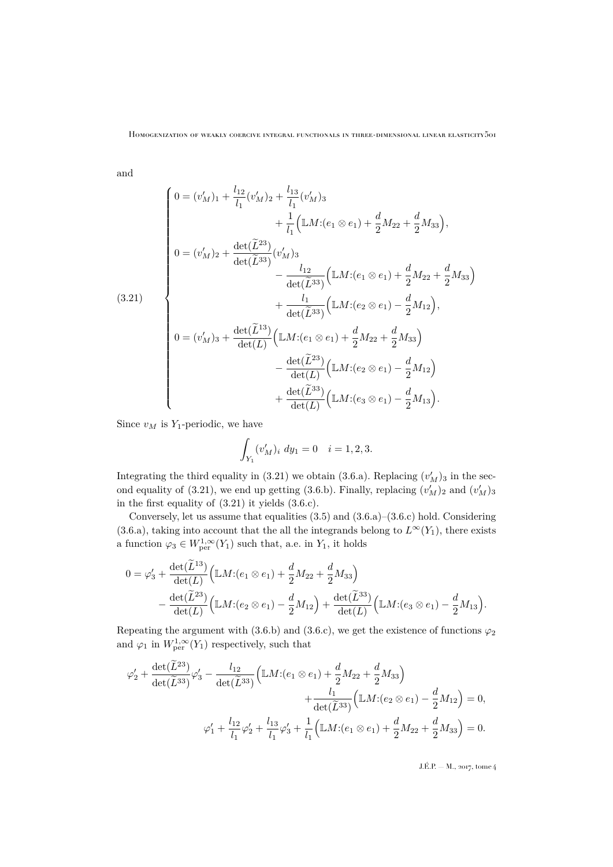and

<span id="page-19-0"></span>
$$
(3.21)
$$
\n
$$
\begin{pmatrix}\n0 = (v'_M)_1 + \frac{l_{12}}{l_1}(v'_M)_2 + \frac{l_{13}}{l_1}(v'_M)_3 \\
+ \frac{1}{l_1}(\mathbb{L}M:(e_1 \otimes e_1) + \frac{d}{2}M_{22} + \frac{d}{2}M_{33}), \\
0 = (v'_M)_2 + \frac{\det(\tilde{L}^{23})}{\det(\tilde{L}^{33})}(v'_M)_3 \\
- \frac{l_{12}}{\det(\tilde{L}^{33})}(\mathbb{L}M:(e_1 \otimes e_1) + \frac{d}{2}M_{22} + \frac{d}{2}M_{33}) \\
+ \frac{l_1}{\det(\tilde{L}^{33})}(\mathbb{L}M:(e_2 \otimes e_1) - \frac{d}{2}M_{12}), \\
0 = (v'_M)_3 + \frac{\det(\tilde{L}^{13})}{\det(L)}(\mathbb{L}M:(e_1 \otimes e_1) + \frac{d}{2}M_{22} + \frac{d}{2}M_{33}) \\
- \frac{\det(\tilde{L}^{23})}{\det(L)}(\mathbb{L}M:(e_2 \otimes e_1) - \frac{d}{2}M_{12}) \\
+ \frac{\det(\tilde{L}^{33})}{\det(L)}(\mathbb{L}M:(e_3 \otimes e_1) - \frac{d}{2}M_{13}).\n\end{pmatrix}
$$

Since  $v_M$  is  $Y_1$ -periodic, we have

$$
\int_{Y_1} (v'_M)_i \ dy_1 = 0 \quad i = 1, 2, 3.
$$

Integrating the third equality in [\(3.21\)](#page-19-0) we obtain [\(3.6.a\)](#page-13-3). Replacing  $(v'_M)_3$  in the sec-ond equality of [\(3.21\)](#page-19-0), we end up getting [\(3.6.b\)](#page-13-4). Finally, replacing  $(v'_M)_2$  and  $(v'_M)_3$ in the first equality of [\(3.21\)](#page-19-0) it yields [\(3.6.c\)](#page-13-5).

Conversely, let us assume that equalities [\(3.5\)](#page-13-6) and [\(3.6.a\)](#page-13-3)–[\(3.6.c\)](#page-13-5) hold. Considering [\(3.6.a\)](#page-13-3), taking into account that the all the integrands belong to  $L^{\infty}(Y_1)$ , there exists a function  $\varphi_3 \in W^{1,\infty}_{\text{per}}(Y_1)$  such that, a.e. in  $Y_1$ , it holds

$$
0 = \varphi_3' + \frac{\det(\tilde{L}^{13})}{\det(L)} \Big( \mathbb{L}M : (e_1 \otimes e_1) + \frac{d}{2}M_{22} + \frac{d}{2}M_{33} \Big) - \frac{\det(\tilde{L}^{23})}{\det(L)} \Big( \mathbb{L}M : (e_2 \otimes e_1) - \frac{d}{2}M_{12} \Big) + \frac{\det(\tilde{L}^{33})}{\det(L)} \Big( \mathbb{L}M : (e_3 \otimes e_1) - \frac{d}{2}M_{13} \Big).
$$

Repeating the argument with [\(3.6.b\)](#page-13-4) and [\(3.6.c\)](#page-13-5), we get the existence of functions  $\varphi_2$ and  $\varphi_1$  in  $W^{1,\infty}_{\text{per}}(Y_1)$  respectively, such that

$$
\varphi_2' + \frac{\det(\tilde{L}^{23})}{\det(\tilde{L}^{33})} \varphi_3' - \frac{l_{12}}{\det(\tilde{L}^{33})} \Big( \mathbb{L}M : (e_1 \otimes e_1) + \frac{d}{2}M_{22} + \frac{d}{2}M_{33} \Big) + \frac{l_1}{\det(\tilde{L}^{33})} \Big( \mathbb{L}M : (e_2 \otimes e_1) - \frac{d}{2}M_{12} \Big) = 0, \n\varphi_1' + \frac{l_{12}}{l_1} \varphi_2' + \frac{l_{13}}{l_1} \varphi_3' + \frac{1}{l_1} \Big( \mathbb{L}M : (e_1 \otimes e_1) + \frac{d}{2}M_{22} + \frac{d}{2}M_{33} \Big) = 0.
$$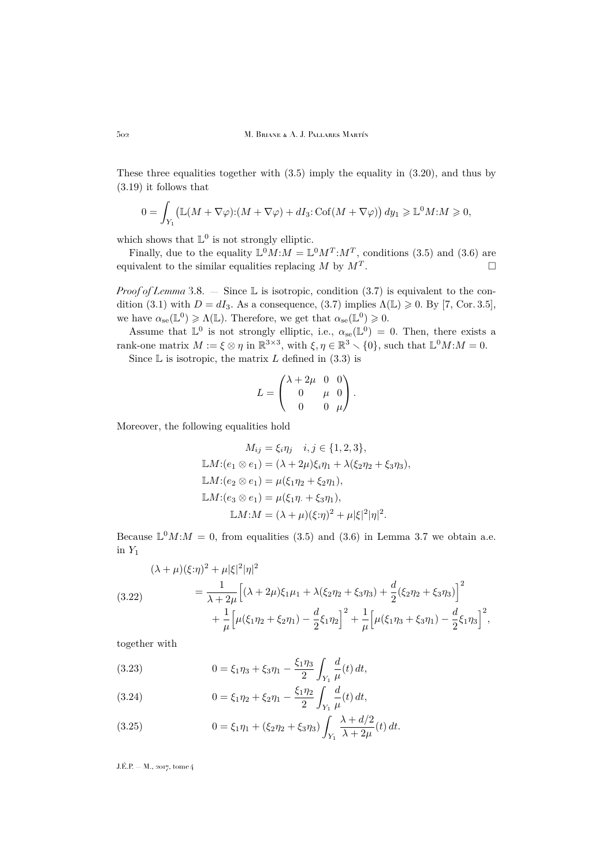These three equalities together with [\(3.5\)](#page-13-6) imply the equality in [\(3.20\)](#page-18-0), and thus by [\(3.19\)](#page-17-0) it follows that

$$
0 = \int_{Y_1} \left( \mathbb{L}(M + \nabla \varphi) : (M + \nabla \varphi) + dI_3 : \text{Cof}(M + \nabla \varphi) \right) dy_1 \geq \mathbb{L}^0 M : M \geq 0,
$$

which shows that  $\mathbb{L}^0$  is not strongly elliptic.

Finally, due to the equality  $\mathbb{L}^0 M$ :  $M = \mathbb{L}^0 M^T$ :  $M^T$ , conditions [\(3.5\)](#page-13-6) and [\(3.6\)](#page-13-0) are equivalent to the similar equalities replacing  $M$  by  $M<sup>T</sup>$ . .

*Proof of Lemma* [3.8.](#page-14-1) — Since  $\mathbb{L}$  is isotropic, condition [\(3.7\)](#page-14-0) is equivalent to the con-dition [\(3.1\)](#page-12-1) with  $D = dI_3$ . As a consequence, [\(3.7\)](#page-14-0) implies  $\Lambda(\mathbb{L}) \geq 0$ . By [\[7,](#page-32-4) Cor. 3.5], we have  $\alpha_{se}(\mathbb{L}^0) \geq \Lambda(\mathbb{L})$ . Therefore, we get that  $\alpha_{se}(\mathbb{L}^0) \geq 0$ .

Assume that  $\mathbb{L}^0$  is not strongly elliptic, i.e.,  $\alpha_{se}(\mathbb{L}^0) = 0$ . Then, there exists a rank-one matrix  $M := \xi \otimes \eta$  in  $\mathbb{R}^{3 \times 3}$ , with  $\xi, \eta \in \mathbb{R}^3 \setminus \{0\}$ , such that  $\mathbb{L}^0 M : M = 0$ .

Since  $\mathbb L$  is isotropic, the matrix L defined in [\(3.3\)](#page-12-3) is

$$
L = \begin{pmatrix} \lambda + 2\mu & 0 & 0 \\ 0 & \mu & 0 \\ 0 & 0 & \mu \end{pmatrix}.
$$

Moreover, the following equalities hold

$$
M_{ij} = \xi_i \eta_j \quad i, j \in \{1, 2, 3\},
$$
  
\n
$$
\mathbb{L}M:(e_1 \otimes e_1) = (\lambda + 2\mu)\xi_i \eta_1 + \lambda(\xi_2 \eta_2 + \xi_3 \eta_3),
$$
  
\n
$$
\mathbb{L}M:(e_2 \otimes e_1) = \mu(\xi_1 \eta_2 + \xi_2 \eta_1),
$$
  
\n
$$
\mathbb{L}M:(e_3 \otimes e_1) = \mu(\xi_1 \eta_1 + \xi_3 \eta_1),
$$
  
\n
$$
\mathbb{L}M:M = (\lambda + \mu)(\xi_i \eta_1)^2 + \mu|\xi|^2 |\eta|^2.
$$

Because  $\mathbb{L}^0 M$ :  $M = 0$ , from equalities [\(3.5\)](#page-13-6) and [\(3.6\)](#page-13-0) in Lemma [3.7](#page-13-1) we obtain a.e. in  $Y_1$ 

<span id="page-20-0"></span>
$$
(\lambda + \mu)(\xi \cdot \eta)^2 + \mu |\xi|^2 |\eta|^2
$$
  
(3.22)  

$$
= \frac{1}{\lambda + 2\mu} \Big[ (\lambda + 2\mu)\xi_1 \mu_1 + \lambda(\xi_2 \eta_2 + \xi_3 \eta_3) + \frac{d}{2} (\xi_2 \eta_2 + \xi_3 \eta_3) \Big]^2
$$

$$
+ \frac{1}{\mu} \Big[ \mu(\xi_1 \eta_2 + \xi_2 \eta_1) - \frac{d}{2} \xi_1 \eta_2 \Big]^2 + \frac{1}{\mu} \Big[ \mu(\xi_1 \eta_3 + \xi_3 \eta_1) - \frac{d}{2} \xi_1 \eta_3 \Big]^2,
$$

together with

<span id="page-20-1"></span>(3.23) 
$$
0 = \xi_1 \eta_3 + \xi_3 \eta_1 - \frac{\xi_1 \eta_3}{2} \int_{Y_1} \frac{d}{\mu}(t) dt,
$$

<span id="page-20-2"></span>(3.24) 
$$
0 = \xi_1 \eta_2 + \xi_2 \eta_1 - \frac{\xi_1 \eta_2}{2} \int_{Y_1} \frac{d}{\mu}(t) dt,
$$

<span id="page-20-3"></span>(3.25) 
$$
0 = \xi_1 \eta_1 + (\xi_2 \eta_2 + \xi_3 \eta_3) \int_{Y_1} \frac{\lambda + d/2}{\lambda + 2\mu} (t) dt.
$$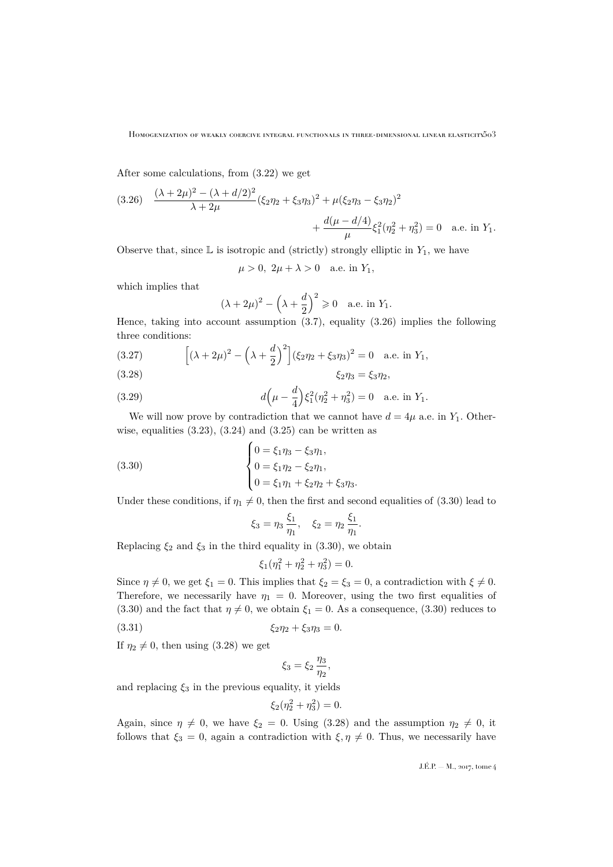After some calculations, from [\(3.22\)](#page-20-0) we get

<span id="page-21-0"></span>(3.26) 
$$
\frac{(\lambda + 2\mu)^2 - (\lambda + d/2)^2}{\lambda + 2\mu} (\xi_2 \eta_2 + \xi_3 \eta_3)^2 + \mu (\xi_2 \eta_3 - \xi_3 \eta_2)^2 + \frac{d(\mu - d/4)}{\mu} \xi_1^2 (\eta_2^2 + \eta_3^2) = 0 \quad \text{a.e. in } Y_1.
$$

Observe that, since  $\mathbb L$  is isotropic and (strictly) strongly elliptic in  $Y_1$ , we have

 $\mu > 0$ ,  $2\mu + \lambda > 0$  a.e. in  $Y_1$ ,

which implies that

$$
(\lambda + 2\mu)^2 - \left(\lambda + \frac{d}{2}\right)^2 \ge 0
$$
 a.e. in  $Y_1$ .

Hence, taking into account assumption  $(3.7)$ , equality  $(3.26)$  implies the following three conditions:

<span id="page-21-4"></span>(3.27) 
$$
\left[ (\lambda + 2\mu)^2 - (\lambda + \frac{d}{2})^2 \right] (\xi_2 \eta_2 + \xi_3 \eta_3)^2 = 0 \text{ a.e. in } Y_1,
$$

<span id="page-21-2"></span>
$$
\xi_2 \eta_3 = \xi_3 \eta_2,
$$

<span id="page-21-5"></span>(3.29) 
$$
d\left(\mu - \frac{d}{4}\right) \xi_1^2 (\eta_2^2 + \eta_3^2) = 0 \quad \text{a.e. in } Y_1.
$$

We will now prove by contradiction that we cannot have  $d = 4\mu$  a.e. in  $Y_1$ . Otherwise, equalities  $(3.23)$ ,  $(3.24)$  and  $(3.25)$  can be written as

(3.30)  

$$
\begin{cases} 0 = \xi_1 \eta_3 - \xi_3 \eta_1, \\ 0 = \xi_1 \eta_2 - \xi_2 \eta_1, \\ 0 = \xi_1 \eta_1 + \xi_2 \eta_2 + \xi_3 \eta_3. \end{cases}
$$

Under these conditions, if  $\eta_1 \neq 0$ , then the first and second equalities of [\(3.30\)](#page-21-1) lead to

<span id="page-21-1"></span>
$$
\xi_3 = \eta_3 \, \frac{\xi_1}{\eta_1}, \quad \xi_2 = \eta_2 \, \frac{\xi_1}{\eta_1}.
$$

Replacing  $\xi_2$  and  $\xi_3$  in the third equality in [\(3.30\)](#page-21-1), we obtain

$$
\xi_1(\eta_1^2 + \eta_2^2 + \eta_3^2) = 0.
$$

Since  $\eta \neq 0$ , we get  $\xi_1 = 0$ . This implies that  $\xi_2 = \xi_3 = 0$ , a contradiction with  $\xi \neq 0$ . Therefore, we necessarily have  $\eta_1 = 0$ . Moreover, using the two first equalities of [\(3.30\)](#page-21-1) and the fact that  $\eta \neq 0$ , we obtain  $\xi_1 = 0$ . As a consequence, (3.30) reduces to

(3.31) 
$$
\xi_2 \eta_2 + \xi_3 \eta_3 = 0.
$$

If  $\eta_2 \neq 0$ , then using [\(3.28\)](#page-21-2) we get

<span id="page-21-3"></span>
$$
\xi_3=\xi_2\,\frac{\eta_3}{\eta_2},
$$

and replacing  $\xi_3$  in the previous equality, it yields

$$
\xi_2(\eta_2^2 + \eta_3^2) = 0.
$$

Again, since  $\eta \neq 0$ , we have  $\xi_2 = 0$ . Using [\(3.28\)](#page-21-2) and the assumption  $\eta_2 \neq 0$ , it follows that  $\xi_3 = 0$ , again a contradiction with  $\xi, \eta \neq 0$ . Thus, we necessarily have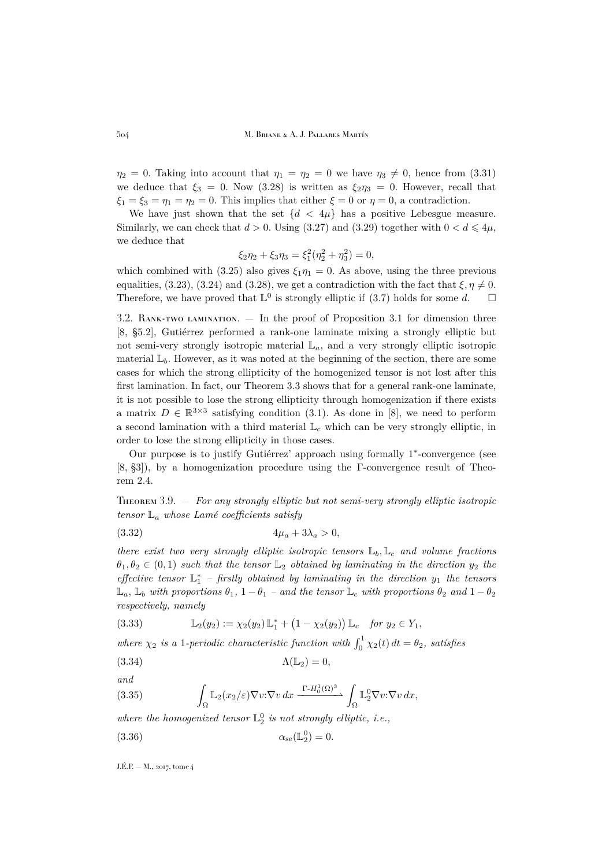$\eta_2 = 0$ . Taking into account that  $\eta_1 = \eta_2 = 0$  we have  $\eta_3 \neq 0$ , hence from [\(3.31\)](#page-21-3) we deduce that  $\xi_3 = 0$ . Now [\(3.28\)](#page-21-2) is written as  $\xi_2 \eta_3 = 0$ . However, recall that  $\xi_1 = \xi_3 = \eta_1 = \eta_2 = 0$ . This implies that either  $\xi = 0$  or  $\eta = 0$ , a contradiction.

We have just shown that the set  $\{d < 4\mu\}$  has a positive Lebesgue measure. Similarly, we can check that  $d > 0$ . Using [\(3.27\)](#page-21-4) and [\(3.29\)](#page-21-5) together with  $0 < d \leq 4\mu$ , we deduce that

$$
\xi_2 \eta_2 + \xi_3 \eta_3 = \xi_1^2 (\eta_2^2 + \eta_3^2) = 0,
$$

which combined with [\(3.25\)](#page-20-3) also gives  $\xi_1 \eta_1 = 0$ . As above, using the three previous equalities, [\(3.23\)](#page-20-1), [\(3.24\)](#page-20-2) and [\(3.28\)](#page-21-2), we get a contradiction with the fact that  $\xi, \eta \neq 0$ . Therefore, we have proved that  $\mathbb{L}^0$  is strongly elliptic if [\(3.7\)](#page-14-0) holds for some d.  $\square$ 

<span id="page-22-1"></span>3.2. RANK-TWO LAMINATION.  $-$  In the proof of Proposition [3.1](#page-10-2) for dimension three [\[8,](#page-32-6) §5.2], Gutiérrez performed a rank-one laminate mixing a strongly elliptic but not semi-very strongly isotropic material  $\mathbb{L}_a$ , and a very strongly elliptic isotropic material  $\mathbb{L}_b$ . However, as it was noted at the beginning of the section, there are some cases for which the strong ellipticity of the homogenized tensor is not lost after this first lamination. In fact, our Theorem [3.3](#page-12-0) shows that for a general rank-one laminate, it is not possible to lose the strong ellipticity through homogenization if there exists a matrix  $D \in \mathbb{R}^{3\times 3}$  satisfying condition [\(3.1\)](#page-12-1). As done in [\[8\]](#page-32-6), we need to perform a second lamination with a third material  $\mathbb{L}_c$  which can be very strongly elliptic, in order to lose the strong ellipticity in those cases.

Our purpose is to justify Gutiérrez' approach using formally 1<sup>\*</sup>-convergence (see [\[8,](#page-32-6) §3]), by a homogenization procedure using the Γ-convergence result of Theorem [2.4.](#page-8-0)

<span id="page-22-0"></span>Theorem 3.9. — *For any strongly elliptic but not semi-very strongly elliptic isotropic tensor* L<sup>a</sup> *whose Lamé coefficients satisfy*

<span id="page-22-2"></span>
$$
(3.32) \t\t 4\mu_a + 3\lambda_a > 0,
$$

*there exist two very strongly elliptic isotropic tensors*  $\mathbb{L}_b$ ,  $\mathbb{L}_c$  *and volume fractions*  $\theta_1, \theta_2 \in (0, 1)$  *such that the tensor*  $\mathbb{L}_2$  *obtained by laminating in the direction*  $y_2$  *the effective tensor*  $\mathbb{L}_1^*$  – *firstly obtained by laminating in the direction*  $y_1$  *the tensors*  $\mathbb{L}_a$ ,  $\mathbb{L}_b$  *with proportions*  $\theta_1$ ,  $1 - \theta_1$  *– and the tensor*  $\mathbb{L}_c$  *with proportions*  $\theta_2$  *and*  $1 - \theta_2$ *respectively, namely*

(3.33) 
$$
\mathbb{L}_2(y_2) := \chi_2(y_2) \mathbb{L}_1^* + (1 - \chi_2(y_2)) \mathbb{L}_c \text{ for } y_2 \in Y_1,
$$

where  $\chi_2$  *is a* 1-periodic characteristic function with  $\int_0^1 \chi_2(t) dt = \theta_2$ , satisfies

<span id="page-22-5"></span>
$$
\Lambda(\mathbb{L}_2) = 0,
$$

*and*

<span id="page-22-3"></span>(3.35) 
$$
\int_{\Omega} \mathbb{L}_2(x_2/\varepsilon) \nabla v \cdot \nabla v \, dx \xrightarrow{\Gamma - H_0^1(\Omega)^3} \int_{\Omega} \mathbb{L}_2^0 \nabla v \cdot \nabla v \, dx,
$$

where the homogenized tensor  $\mathbb{L}^0_2$  is not strongly elliptic, i.e.,

<span id="page-22-4"></span>
$$
\alpha_{\rm se}(\mathbb{L}_2^0) = 0.
$$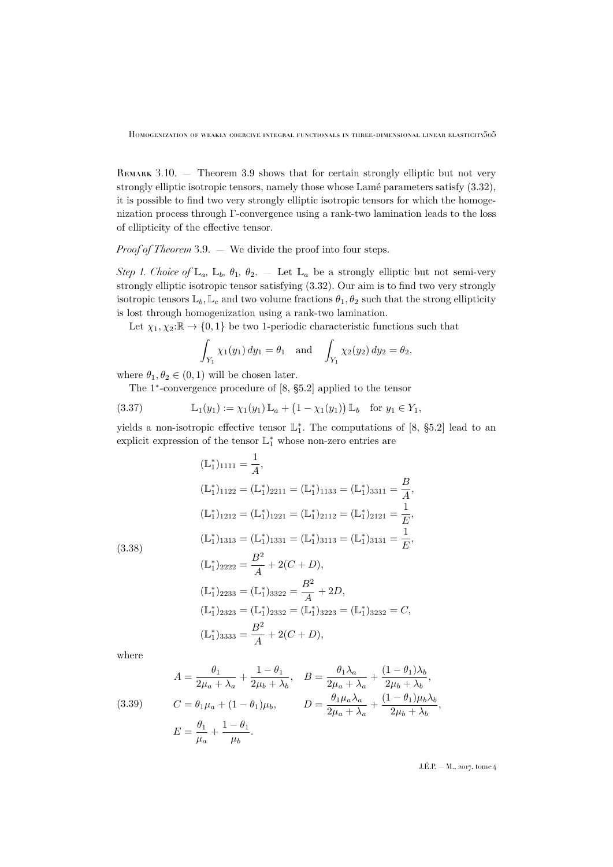REMARK 3.10. – Theorem [3.9](#page-22-0) shows that for certain strongly elliptic but not very strongly elliptic isotropic tensors, namely those whose Lamé parameters satisfy [\(3.32\)](#page-22-2), it is possible to find two very strongly elliptic isotropic tensors for which the homogenization process through Γ-convergence using a rank-two lamination leads to the loss of ellipticity of the effective tensor.

*Proof of Theorem* [3.9.](#page-22-0) — We divide the proof into four steps.

*Step 1. Choice of*  $\mathbb{L}_a$ ,  $\mathbb{L}_b$ ,  $\theta_1$ ,  $\theta_2$ . — Let  $\mathbb{L}_a$  be a strongly elliptic but not semi-very strongly elliptic isotropic tensor satisfying [\(3.32\)](#page-22-2). Our aim is to find two very strongly isotropic tensors  $\mathbb{L}_b$ ,  $\mathbb{L}_c$  and two volume fractions  $\theta_1, \theta_2$  such that the strong ellipticity is lost through homogenization using a rank-two lamination.

Let  $\chi_1, \chi_2: \mathbb{R} \to \{0, 1\}$  be two 1-periodic characteristic functions such that

<span id="page-23-0"></span>
$$
\int_{Y_1} \chi_1(y_1) \, dy_1 = \theta_1 \quad \text{and} \quad \int_{Y_1} \chi_2(y_2) \, dy_2 = \theta_2,
$$

where  $\theta_1, \theta_2 \in (0, 1)$  will be chosen later.

The 1 ∗ -convergence procedure of [\[8,](#page-32-6) §5.2] applied to the tensor

(3.37) 
$$
\mathbb{L}_1(y_1) := \chi_1(y_1) \mathbb{L}_a + (1 - \chi_1(y_1)) \mathbb{L}_b \text{ for } y_1 \in Y_1,
$$

yields a non-isotropic effective tensor  $\mathbb{L}_1^*$ . The computations of [\[8,](#page-32-6) §5.2] lead to an explicit expression of the tensor  $\mathbb{L}_1^\ast$  whose non-zero entries are

<span id="page-23-2"></span>
$$
(\mathbb{L}_{1}^{*})_{1111} = \frac{1}{A},
$$
  
\n
$$
(\mathbb{L}_{1}^{*})_{1122} = (\mathbb{L}_{1}^{*})_{2211} = (\mathbb{L}_{1}^{*})_{1133} = (\mathbb{L}_{1}^{*})_{3311} = \frac{B}{A},
$$
  
\n
$$
(\mathbb{L}_{1}^{*})_{1212} = (\mathbb{L}_{1}^{*})_{1221} = (\mathbb{L}_{1}^{*})_{2112} = (\mathbb{L}_{1}^{*})_{2121} = \frac{1}{E},
$$
  
\n
$$
(\mathbb{L}_{1}^{*})_{1313} = (\mathbb{L}_{1}^{*})_{1331} = (\mathbb{L}_{1}^{*})_{3113} = (\mathbb{L}_{1}^{*})_{3131} = \frac{1}{E},
$$
  
\n
$$
(\mathbb{L}_{1}^{*})_{2222} = \frac{B^{2}}{A} + 2(C + D),
$$
  
\n
$$
(\mathbb{L}_{1}^{*})_{2233} = (\mathbb{L}_{1}^{*})_{3322} = \frac{B^{2}}{A} + 2D,
$$
  
\n
$$
(\mathbb{L}_{1}^{*})_{2323} = (\mathbb{L}_{1}^{*})_{2332} = (\mathbb{L}_{1}^{*})_{3223} = (\mathbb{L}_{1}^{*})_{3232} = C,
$$
  
\n
$$
(\mathbb{L}_{1}^{*})_{3333} = \frac{B^{2}}{A} + 2(C + D),
$$

where

<span id="page-23-1"></span>(3.39) 
$$
A = \frac{\theta_1}{2\mu_a + \lambda_a} + \frac{1 - \theta_1}{2\mu_b + \lambda_b}, \quad B = \frac{\theta_1 \lambda_a}{2\mu_a + \lambda_a} + \frac{(1 - \theta_1)\lambda_b}{2\mu_b + \lambda_b},
$$

$$
C = \theta_1 \mu_a + (1 - \theta_1)\mu_b, \qquad D = \frac{\theta_1 \mu_a \lambda_a}{2\mu_a + \lambda_a} + \frac{(1 - \theta_1)\mu_b \lambda_b}{2\mu_b + \lambda_b},
$$

$$
E = \frac{\theta_1}{\mu_a} + \frac{1 - \theta_1}{\mu_b}.
$$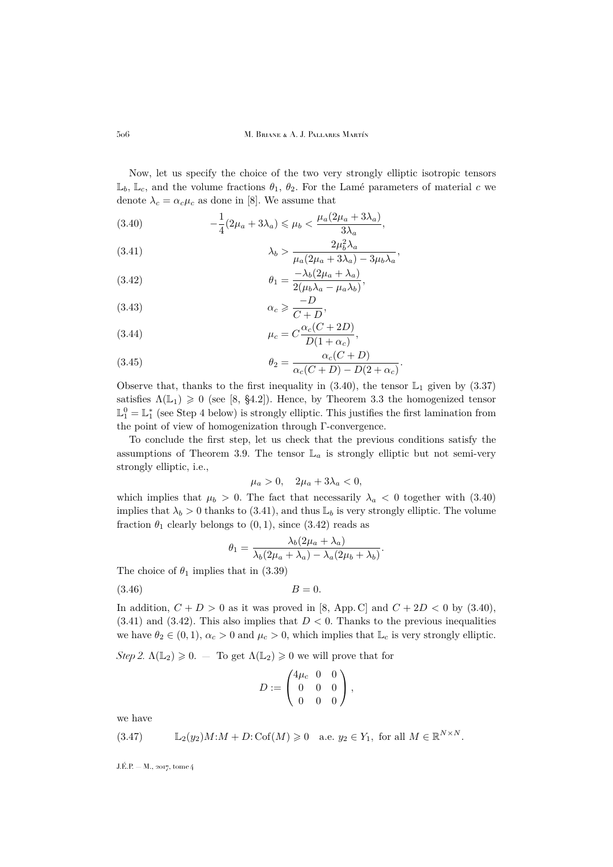Now, let us specify the choice of the two very strongly elliptic isotropic tensors  $\mathbb{L}_b$ ,  $\mathbb{L}_c$ , and the volume fractions  $\theta_1$ ,  $\theta_2$ . For the Lamé parameters of material c we denote  $\lambda_c = \alpha_c \mu_c$  as done in [\[8\]](#page-32-6). We assume that

<span id="page-24-0"></span>(3.40) 
$$
-\frac{1}{4}(2\mu_a + 3\lambda_a) \leq \mu_b < \frac{\mu_a(2\mu_a + 3\lambda_a)}{3\lambda_a},
$$

<span id="page-24-1"></span>(3.41) 
$$
\lambda_b > \frac{2\mu_b^2 \lambda_a}{\mu_a (2\mu_a + 3\lambda_a) - 3\mu_b \lambda_a},
$$

<span id="page-24-2"></span>(3.42) 
$$
\theta_1 = \frac{-\lambda_b (2\mu_a + \lambda_a)}{2(\mu_b \lambda_a - \mu_a \lambda_b)},
$$

$$
-D
$$

<span id="page-24-4"></span>
$$
\alpha_c \geqslant \frac{-D}{C+D},\tag{C}
$$

<span id="page-24-3"></span>(3.44) 
$$
\mu_c = C \frac{\alpha_c (C + 2D)}{D(1 + \alpha_c)},
$$

(3.45) 
$$
\theta_2 = \frac{\alpha_c(C+D)}{\alpha_c(C+D) - D(2+\alpha_c)}.
$$

Observe that, thanks to the first inequality in  $(3.40)$ , the tensor  $\mathbb{L}_1$  given by  $(3.37)$ satisfies  $\Lambda(\mathbb{L}_1) \geq 0$  (see [\[8,](#page-32-6) §4.2]). Hence, by Theorem [3.3](#page-12-0) the homogenized tensor  $\mathbb{L}_{1}^{0} = \mathbb{L}_{1}^{*}$  (see Step 4 below) is strongly elliptic. This justifies the first lamination from the point of view of homogenization through Γ-convergence.

To conclude the first step, let us check that the previous conditions satisfy the assumptions of Theorem [3.9.](#page-22-0) The tensor  $\mathbb{L}_a$  is strongly elliptic but not semi-very strongly elliptic, i.e.,

$$
\mu_a > 0, \quad 2\mu_a + 3\lambda_a < 0,
$$

which implies that  $\mu_b > 0$ . The fact that necessarily  $\lambda_a < 0$  together with [\(3.40\)](#page-24-0) implies that  $\lambda_b > 0$  thanks to [\(3.41\)](#page-24-1), and thus  $\mathbb{L}_b$  is very strongly elliptic. The volume fraction  $\theta_1$  clearly belongs to  $(0, 1)$ , since  $(3.42)$  reads as

<span id="page-24-6"></span>
$$
\theta_1 = \frac{\lambda_b (2\mu_a + \lambda_a)}{\lambda_b (2\mu_a + \lambda_a) - \lambda_a (2\mu_b + \lambda_b)}.
$$

The choice of  $\theta_1$  implies that in [\(3.39\)](#page-23-1)

 $(B = 0.$ 

In addition,  $C + D > 0$  as it was proved in [\[8,](#page-32-6) App. C] and  $C + 2D < 0$  by [\(3.40\)](#page-24-0),  $(3.41)$  and  $(3.42)$ . This also implies that  $D < 0$ . Thanks to the previous inequalities we have  $\theta_2 \in (0,1)$ ,  $\alpha_c > 0$  and  $\mu_c > 0$ , which implies that  $\mathbb{L}_c$  is very strongly elliptic.

*Step 2.*  $\Lambda(\mathbb{L}_2) \geq 0$ . — To get  $\Lambda(\mathbb{L}_2) \geq 0$  we will prove that for

$$
D:=\begin{pmatrix} 4\mu_c & 0 & 0 \\ 0 & 0 & 0 \\ 0 & 0 & 0 \end{pmatrix},
$$

we have

<span id="page-24-5"></span>(3.47) 
$$
\mathbb{L}_2(y_2)M:M+D:\mathrm{Cof}(M)\geq 0 \text{ a.e. } y_2\in Y_1, \text{ for all } M\in\mathbb{R}^{N\times N}.
$$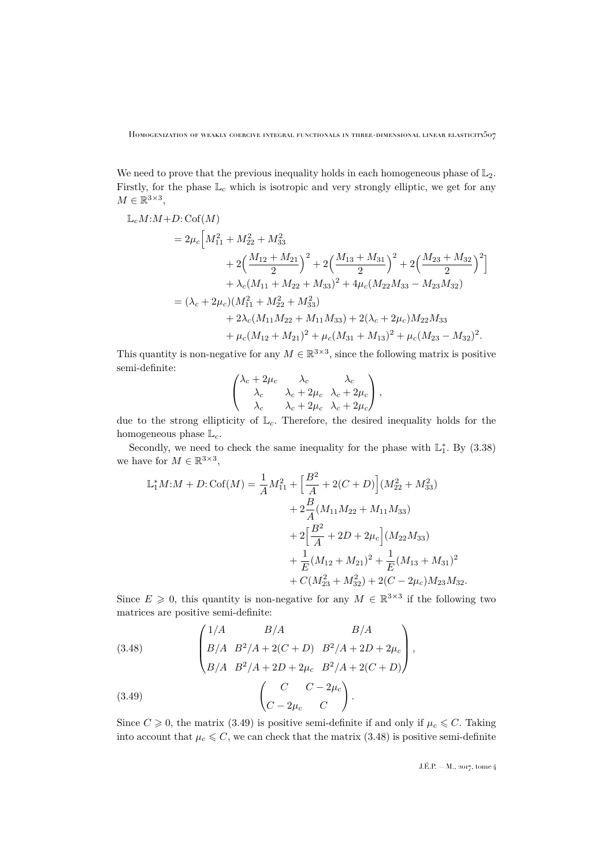We need to prove that the previous inequality holds in each homogeneous phase of  $\mathbb{L}_2$ . Firstly, for the phase  $\mathbb{L}_c$  which is isotropic and very strongly elliptic, we get for any  $M \in \mathbb{R}^{3 \times 3}$ ,

$$
\begin{split} \mathbb{L}_{c}M: &M+D:\mathrm{Cof}(M) \\ &=2\mu_{c}\Big[M_{11}^{2}+M_{22}^{2}+M_{33}^{2} \\ &+2\Big(\frac{M_{12}+M_{21}}{2}\Big)^{2}+2\Big(\frac{M_{13}+M_{31}}{2}\Big)^{2}+2\Big(\frac{M_{23}+M_{32}}{2}\Big)^{2}\Big] \\ &+ \lambda_{c}(M_{11}+M_{22}+M_{33})^{2}+4\mu_{c}(M_{22}M_{33}-M_{23}M_{32}) \\ &=(\lambda_{c}+2\mu_{c})(M_{11}^{2}+M_{22}^{2}+M_{33}^{2}) \\ &+2\lambda_{c}(M_{11}M_{22}+M_{11}M_{33})+2(\lambda_{c}+2\mu_{c})M_{22}M_{33} \\ &+\mu_{c}(M_{12}+M_{21})^{2}+\mu_{c}(M_{31}+M_{13})^{2}+\mu_{c}(M_{23}-M_{32})^{2} .\end{split}
$$

This quantity is non-negative for any  $M \in \mathbb{R}^{3 \times 3}$ , since the following matrix is positive semi-definite:

$$
\begin{pmatrix}\n\lambda_c + 2\mu_c & \lambda_c & \lambda_c \\
\lambda_c & \lambda_c + 2\mu_c & \lambda_c + 2\mu_c \\
\lambda_c & \lambda_c + 2\mu_c & \lambda_c + 2\mu_c\n\end{pmatrix},
$$

due to the strong ellipticity of  $\mathbb{L}_c$ . Therefore, the desired inequality holds for the homogeneous phase  $\mathbb{L}_c$ .

Secondly, we need to check the same inequality for the phase with  $\mathbb{L}_1^*$ . By [\(3.38\)](#page-23-2) we have for  $M \in \mathbb{R}^{3 \times 3}$ ,

$$
\begin{aligned} \mathbb{L}_1^* M M + D: \text{Cof}(M) &= \frac{1}{A} M_{11}^2 + \left[ \frac{B^2}{A} + 2(C + D) \right] (M_{22}^2 + M_{33}^2) \\ &+ 2 \frac{B}{A} (M_{11} M_{22} + M_{11} M_{33}) \\ &+ 2 \left[ \frac{B^2}{A} + 2D + 2\mu_c \right] (M_{22} M_{33}) \\ &+ \frac{1}{E} (M_{12} + M_{21})^2 + \frac{1}{E} (M_{13} + M_{31})^2 \\ &+ C (M_{23}^2 + M_{32}^2) + 2(C - 2\mu_c) M_{23} M_{32}. \end{aligned}
$$

Since  $E \geq 0$ , this quantity is non-negative for any  $M \in \mathbb{R}^{3 \times 3}$  if the following two matrices are positive semi-definite:

<span id="page-25-1"></span>(3.48)  

$$
\begin{pmatrix} 1/A & B/A & B/A \ B/A & B^2/A + 2(C+D) & B^2/A + 2D + 2\mu_c \ B/A & B^2/A + 2D + 2\mu_c & B^2/A + 2(C+D) \end{pmatrix},
$$
  

$$
(3.49)
$$

$$
\begin{pmatrix} C & C-2\mu_c & C \ C-2\mu_c & C \end{pmatrix}.
$$

<span id="page-25-0"></span>Since  $C \geq 0$ , the matrix [\(3.49\)](#page-25-0) is positive semi-definite if and only if  $\mu_c \leq C$ . Taking into account that  $\mu_c \leq C$ , we can check that the matrix [\(3.48\)](#page-25-1) is positive semi-definite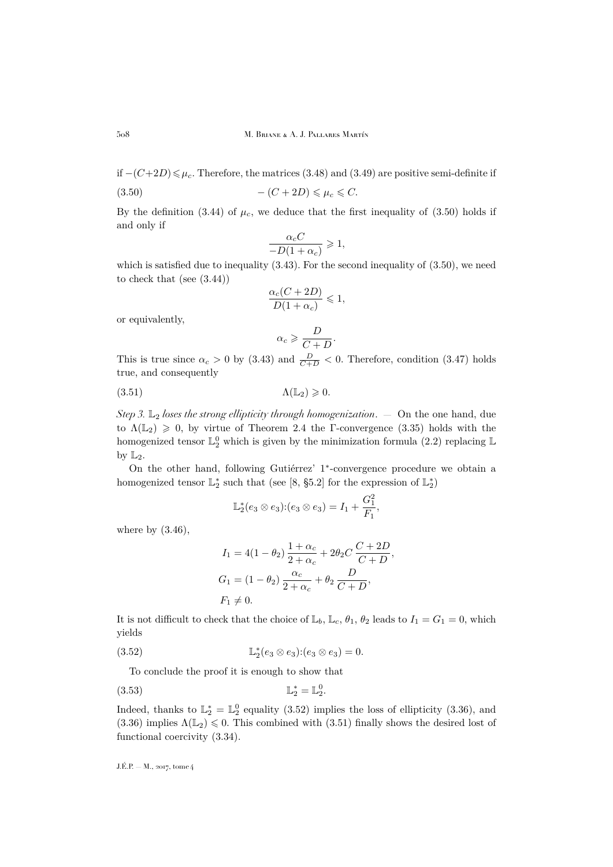if  $-(C+2D) \leq \mu_c$ . Therefore, the matrices [\(3.48\)](#page-25-1) and [\(3.49\)](#page-25-0) are positive semi-definite if (3.50)  $-(C+2D) \leq \mu_c \leq C.$ 

By the definition [\(3.44\)](#page-24-3) of  $\mu_c$ , we deduce that the first inequality of [\(3.50\)](#page-26-0) holds if and only if

<span id="page-26-0"></span>
$$
\frac{\alpha_c C}{-D(1+\alpha_c)} \geq 1,
$$

which is satisfied due to inequality  $(3.43)$ . For the second inequality of  $(3.50)$ , we need to check that (see [\(3.44\)](#page-24-3))

$$
\frac{\alpha_c(C + 2D)}{D(1 + \alpha_c)} \leq 1,
$$

or equivalently,

<span id="page-26-2"></span>
$$
\alpha_c \geqslant \frac{D}{C+D}.
$$

This is true since  $\alpha_c > 0$  by [\(3.43\)](#page-24-4) and  $\frac{D}{C+D} < 0$ . Therefore, condition [\(3.47\)](#page-24-5) holds true, and consequently

$$
\Lambda(\mathbb{L}_2) \geq 0.
$$

*Step 3.* L<sup>2</sup> *loses the strong ellipticity through homogenization*. — On the one hand, due to  $\Lambda(\mathbb{L}_2) \geq 0$ , by virtue of Theorem [2.4](#page-8-0) the Γ-convergence [\(3.35\)](#page-22-3) holds with the homogenized tensor  $\mathbb{L}_{2}^{0}$  which is given by the minimization formula [\(2.2\)](#page-6-2) replacing  $\mathbb{L}% _{2}^{0}$ by  $\mathbb{L}_2$ .

On the other hand, following Gutiérrez' 1 ∗ -convergence procedure we obtain a homogenized tensor  $\mathbb{L}_2^*$  such that (see [\[8,](#page-32-6) §5.2] for the expression of  $\mathbb{L}_2^*$ )

$$
\mathbb{L}_{2}^{*}(e_{3} \otimes e_{3}) \colon (e_{3} \otimes e_{3}) = I_{1} + \frac{G_{1}^{2}}{F_{1}},
$$

where by  $(3.46)$ ,

<span id="page-26-3"></span><span id="page-26-1"></span>
$$
I_1 = 4(1 - \theta_2) \frac{1 + \alpha_c}{2 + \alpha_c} + 2\theta_2 C \frac{C + 2D}{C + D},
$$
  
\n
$$
G_1 = (1 - \theta_2) \frac{\alpha_c}{2 + \alpha_c} + \theta_2 \frac{D}{C + D},
$$
  
\n
$$
F_1 \neq 0.
$$

It is not difficult to check that the choice of  $\mathbb{L}_b$ ,  $\mathbb{L}_c$ ,  $\theta_1$ ,  $\theta_2$  leads to  $I_1 = G_1 = 0$ , which yields

(3.52) 
$$
\mathbb{L}_2^*(e_3 \otimes e_3) : (e_3 \otimes e_3) = 0.
$$

To conclude the proof it is enough to show that

$$
\mathbb{L}_2^* = \mathbb{L}_2^0.
$$

Indeed, thanks to  $\mathbb{L}_2^* = \mathbb{L}_2^0$  equality [\(3.52\)](#page-26-1) implies the loss of ellipticity [\(3.36\)](#page-22-4), and  $(3.36)$  implies  $\Lambda(\mathbb{L}_2) \leq 0$ . This combined with  $(3.51)$  finally shows the desired lost of functional coercivity [\(3.34\)](#page-22-5).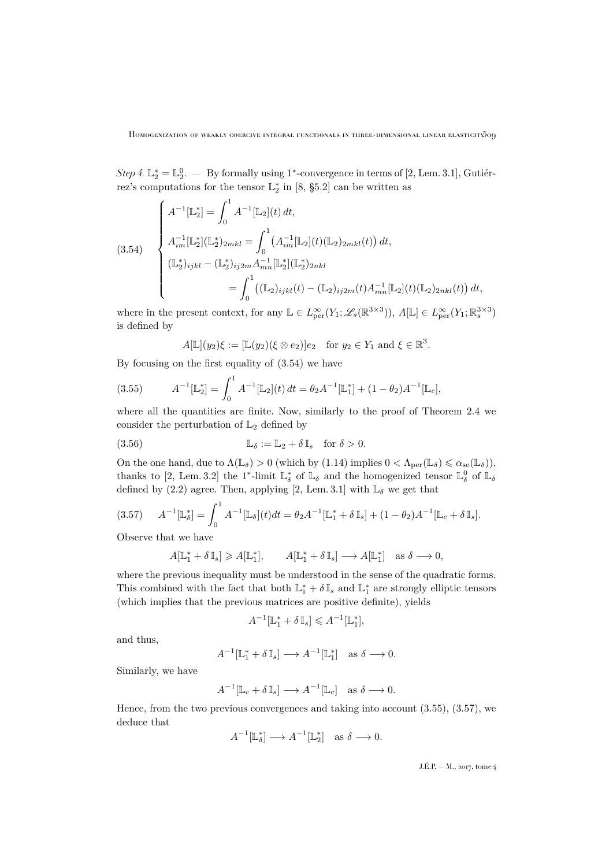Step 4.  $\mathbb{L}_2^* = \mathbb{L}_2^0$ .  $-$  By formally using 1<sup>\*</sup>-convergence in terms of [\[2,](#page-32-7) Lem. 3.1], Gutiérrez's computations for the tensor  $\mathbb{L}_2^*$  in [\[8,](#page-32-6) §5.2] can be written as

<span id="page-27-0"></span>
$$
(3.54) \begin{cases} A^{-1}[\mathbb{L}_{2}^{*}] = \int_{0}^{1} A^{-1}[\mathbb{L}_{2}](t) dt, \\ A_{im}^{-1}[\mathbb{L}_{2}^{*}](\mathbb{L}_{2}^{*})_{2mkl} = \int_{0}^{1} (A_{im}^{-1}[\mathbb{L}_{2}](t)(\mathbb{L}_{2})_{2mkl}(t)) dt, \\ (\mathbb{L}_{2}^{*})_{ijkl} - (\mathbb{L}_{2}^{*})_{ij2m} A_{mn}^{-1}[\mathbb{L}_{2}^{*}](\mathbb{L}_{2}^{*})_{2nkl} \\ = \int_{0}^{1} ((\mathbb{L}_{2})_{ijkl}(t) - (\mathbb{L}_{2})_{ij2m}(t) A_{mn}^{-1}[\mathbb{L}_{2}](t)(\mathbb{L}_{2})_{2nkl}(t)) dt, \end{cases}
$$

where in the present context, for any  $\mathbb{L} \in L^{\infty}_{per}(Y_1; \mathscr{L}_s(\mathbb{R}^{3\times3}))$ ,  $A[\mathbb{L}] \in L^{\infty}_{per}(Y_1; \mathbb{R}^{3\times3}_s)$ is defined by

<span id="page-27-1"></span>
$$
A[\mathbb{L}](y_2)\xi := [\mathbb{L}(y_2)(\xi \otimes e_2)]e_2 \quad \text{for } y_2 \in Y_1 \text{ and } \xi \in \mathbb{R}^3.
$$

By focusing on the first equality of [\(3.54\)](#page-27-0) we have

(3.55) 
$$
A^{-1}[\mathbb{L}_2^*] = \int_0^1 A^{-1}[\mathbb{L}_2](t) dt = \theta_2 A^{-1}[\mathbb{L}_1^*] + (1 - \theta_2) A^{-1}[\mathbb{L}_c],
$$

where all the quantities are finite. Now, similarly to the proof of Theorem [2.4](#page-8-0) we consider the perturbation of  $\mathbb{L}_2$  defined by

(3.56) 
$$
\mathbb{L}_{\delta} := \mathbb{L}_2 + \delta \mathbb{I}_s \quad \text{for } \delta > 0.
$$

On the one hand, due to  $\Lambda(\mathbb{L}_{\delta}) > 0$  (which by [\(1.14\)](#page-5-0) implies  $0 < \Lambda_{\text{per}}(\mathbb{L}_{\delta}) \leq \alpha_{\text{se}}(\mathbb{L}_{\delta})$ ), thanks to [\[2,](#page-32-7) Lem. 3.2] the 1<sup>\*</sup>-limit  $\mathbb{L}^*_\delta$  of  $\mathbb{L}_\delta$  and the homogenized tensor  $\mathbb{L}^0_\delta$  of  $\mathbb{L}_\delta$ defined by [\(2.2\)](#page-6-2) agree. Then, applying [\[2,](#page-32-7) Lem. 3.1] with  $\mathbb{L}_{\delta}$  we get that

<span id="page-27-2"></span>
$$
(3.57) \t A^{-1}[\mathbb{L}_{\delta}^{*}] = \int_{0}^{1} A^{-1}[\mathbb{L}_{\delta}](t)dt = \theta_{2}A^{-1}[\mathbb{L}_{1}^{*} + \delta \mathbb{I}_{s}] + (1 - \theta_{2})A^{-1}[\mathbb{L}_{c} + \delta \mathbb{I}_{s}].
$$

Observe that we have

$$
A[\mathbb{L}_1^* + \delta \mathbb{I}_s] \geqslant A[\mathbb{L}_1^*], \qquad A[\mathbb{L}_1^* + \delta \mathbb{I}_s] \longrightarrow A[\mathbb{L}_1^*] \quad \text{as } \delta \longrightarrow 0,
$$

where the previous inequality must be understood in the sense of the quadratic forms. This combined with the fact that both  $\mathbb{L}_1^* + \delta \mathbb{I}_s$  and  $\mathbb{L}_1^*$  are strongly elliptic tensors (which implies that the previous matrices are positive definite), yields

$$
A^{-1}[\mathbb{L}_1^* + \delta \mathbb{I}_s] \leqslant A^{-1}[\mathbb{L}_1^*],
$$

and thus,

$$
A^{-1}[\mathbb{L}_1^* + \delta \mathbb{I}_s] \longrightarrow A^{-1}[\mathbb{L}_1^*] \text{ as } \delta \longrightarrow 0.
$$

Similarly, we have

$$
A^{-1}[\mathbb{L}_c + \delta \mathbb{I}_s] \longrightarrow A^{-1}[\mathbb{L}_c] \quad \text{as } \delta \longrightarrow 0.
$$

Hence, from the two previous convergences and taking into account [\(3.55\)](#page-27-1), [\(3.57\)](#page-27-2), we deduce that

$$
A^{-1}[\mathbb{L}_{\delta}^*] \longrightarrow A^{-1}[\mathbb{L}_2^*] \quad \text{as } \delta \longrightarrow 0.
$$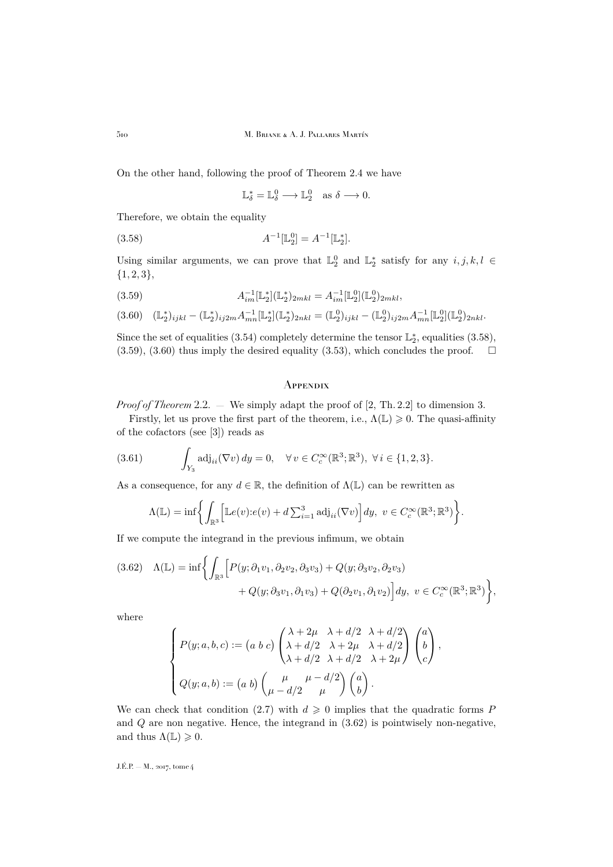On the other hand, following the proof of Theorem [2.4](#page-8-0) we have

<span id="page-28-1"></span> $\mathbb{L}_{\delta}^{*} = \mathbb{L}_{\delta}^{0} \longrightarrow \mathbb{L}_{2}^{0} \text{ as } \delta \longrightarrow 0.$ 

Therefore, we obtain the equality

(3.58) 
$$
A^{-1}[\mathbb{L}_2^0] = A^{-1}[\mathbb{L}_2^*].
$$

Using similar arguments, we can prove that  $\mathbb{L}_2^0$  and  $\mathbb{L}_2^*$  satisfy for any  $i, j, k, l \in$  ${1, 2, 3},$ 

<span id="page-28-2"></span>(3.59)  $A_{im}^{-1}[\mathbb{L}_{2}^{*}](\mathbb{L}_{2}^{*})_{2mkl} = A_{im}^{-1}[\mathbb{L}_{2}^{0}](\mathbb{L}_{2}^{0})_{2mkl},$ 

<span id="page-28-3"></span>
$$
(3.60)\quad (\mathbb{L}_2^*)_{ijkl} - (\mathbb{L}_2^*)_{ij2m} A^{-1}_{mn} [\mathbb{L}_2^*] (\mathbb{L}_2^*)_{2nkl} = (\mathbb{L}_2^0)_{ijkl} - (\mathbb{L}_2^0)_{ij2m} A^{-1}_{mn} [\mathbb{L}_2^0] (\mathbb{L}_2^0)_{2nkl}.
$$

Since the set of equalities [\(3.54\)](#page-27-0) completely determine the tensor  $\mathbb{L}_2^*$ , equalities [\(3.58\)](#page-28-1),  $(3.59)$ ,  $(3.60)$  thus imply the desired equality  $(3.53)$ , which concludes the proof.  $\square$ 

### <span id="page-28-0"></span>**APPENDIX**

*Proof of Theorem* [2.2.](#page-8-1) — We simply adapt the proof of [\[2,](#page-32-7) Th. 2.2] to dimension 3.

Firstly, let us prove the first part of the theorem, i.e.,  $\Lambda(\mathbb{L}) \geq 0$ . The quasi-affinity of the cofactors (see [\[3\]](#page-32-11)) reads as

(3.61) 
$$
\int_{Y_3} \mathrm{adj}_{ii}(\nabla v) \, dy = 0, \quad \forall \, v \in C_c^{\infty}(\mathbb{R}^3; \mathbb{R}^3), \ \forall \, i \in \{1, 2, 3\}.
$$

As a consequence, for any  $d \in \mathbb{R}$ , the definition of  $\Lambda(\mathbb{L})$  can be rewritten as

<span id="page-28-5"></span>
$$
\Lambda(\mathbb{L}) = \inf \bigg\{ \int_{\mathbb{R}^3} \Big[ \mathbb{L}e(v) : e(v) + d \sum_{i=1}^3 \mathrm{adj}_{ii}(\nabla v) \Big] dy, \ v \in C_c^{\infty}(\mathbb{R}^3; \mathbb{R}^3) \bigg\}.
$$

If we compute the integrand in the previous infimum, we obtain

<span id="page-28-4"></span>
$$
(3.62) \quad \Lambda(\mathbb{L}) = \inf \bigg\{ \int_{\mathbb{R}^3} \Big[ P(y; \partial_1 v_1, \partial_2 v_2, \partial_3 v_3) + Q(y; \partial_3 v_2, \partial_2 v_3) \\ + Q(y; \partial_3 v_1, \partial_1 v_3) + Q(\partial_2 v_1, \partial_1 v_2) \Big] dy, \ v \in C_c^{\infty}(\mathbb{R}^3; \mathbb{R}^3) \bigg\},
$$

where

$$
\begin{cases}\nP(y;a,b,c) := (a\;b\;c)\begin{pmatrix}\n\lambda + 2\mu & \lambda + d/2 & \lambda + d/2 \\
\lambda + d/2 & \lambda + 2\mu & \lambda + d/2\n\end{pmatrix}\begin{pmatrix} a \\
b \\
c \end{pmatrix}, \\
Q(y;a,b) := (a\;b)\begin{pmatrix} \mu & \mu - d/2 \\
\mu - d/2 & \mu \end{pmatrix}\begin{pmatrix} a \\
b \end{pmatrix}.\n\end{cases}
$$

We can check that condition [\(2.7\)](#page-7-3) with  $d \geq 0$  implies that the quadratic forms P and  $Q$  are non negative. Hence, the integrand in  $(3.62)$  is pointwisely non-negative, and thus  $\Lambda(\mathbb{L}) \geq 0$ .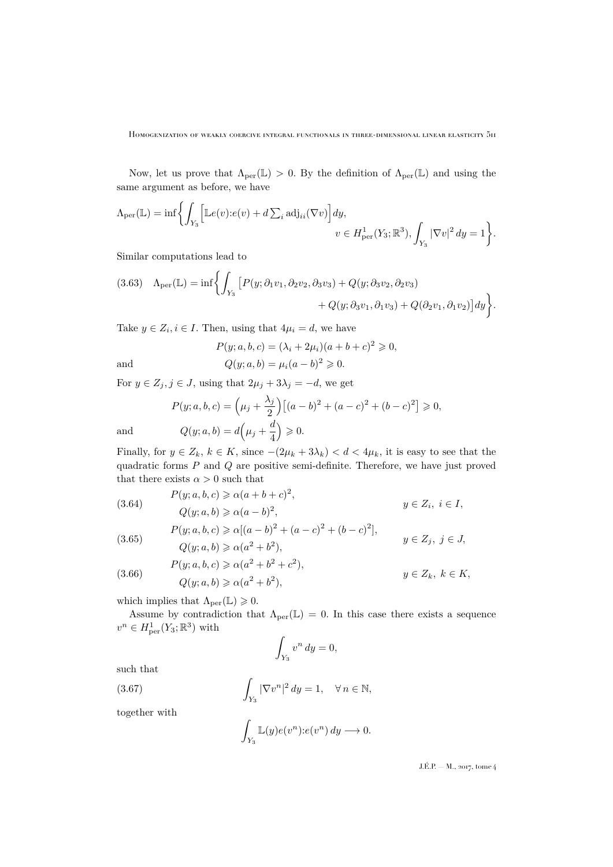Now, let us prove that  $\Lambda_{\text{per}}(\mathbb{L}) > 0$ . By the definition of  $\Lambda_{\text{per}}(\mathbb{L})$  and using the same argument as before, we have

$$
\Lambda_{\text{per}}(\mathbb{L}) = \inf \biggl\{ \int_{Y_3} \Bigl[ \mathbb{L}e(v) : e(v) + d \sum_i \text{adj}_{ii}(\nabla v) \Bigr] dy, \quad v \in H^1_{\text{per}}(Y_3; \mathbb{R}^3), \int_{Y_3} |\nabla v|^2 dy = 1 \biggr\}.
$$

Similar computations lead to

<span id="page-29-0"></span>
$$
(3.63) \quad \Lambda_{\text{per}}(\mathbb{L}) = \inf \bigg\{ \int_{Y_3} \big[ P(y; \partial_1 v_1, \partial_2 v_2, \partial_3 v_3) + Q(y; \partial_3 v_2, \partial_2 v_3) + Q(y; \partial_3 v_1, \partial_1 v_3) + Q(\partial_2 v_1, \partial_1 v_2) \bigg] dy \bigg\}.
$$

Take  $y \in Z_i, i \in I$ . Then, using that  $4\mu_i = d$ , we have

$$
P(y; a, b, c) = (\lambda_i + 2\mu_i)(a + b + c)^2 \ge 0,
$$

and 
$$
Q(y; a, b) = \mu_i (a - b)^2 \ge 0.
$$

For  $y \in Z_j, j \in J$ , using that  $2\mu_j + 3\lambda_j = -d$ , we get

$$
P(y;a,b,c) = \left(\mu_j + \frac{\lambda_j}{2}\right) \left[ (a-b)^2 + (a-c)^2 + (b-c)^2 \right] \ge 0,
$$
  
and  

$$
Q(y;a,b) = d\left(\mu_j + \frac{d}{4}\right) \ge 0.
$$

Finally, for  $y \in Z_k$ ,  $k \in K$ , since  $-(2\mu_k + 3\lambda_k) < d < 4\mu_k$ , it is easy to see that the quadratic forms P and Q are positive semi-definite. Therefore, we have just proved that there exists  $\alpha > 0$  such that

<span id="page-29-4"></span>(3.64)  
\n
$$
P(y;a,b,c) \ge \alpha(a+b+c)^2,
$$
\n
$$
Q(y;a,b) \ge \alpha(a-b)^2,
$$
\n
$$
P(y;a,b,c) \ge \alpha[(a-b)^2 + (a-c)^2 + (b-c)^2],
$$
\n
$$
Q(y;a,b) \ge \alpha(a^2 + b^2),
$$
\n
$$
y \in Z_j, j \in J,
$$
\n
$$
y \in Z_j, j \in J,
$$

4

<span id="page-29-2"></span><span id="page-29-1"></span>(3.66) 
$$
P(y;a,b,c) \ge \alpha(a^2+b^2+c^2),
$$

$$
Q(y;a,b) \ge \alpha(a^2+b^2),
$$

$$
y \in Z_k, k \in K,
$$

which implies that  $\Lambda_{\text{per}}(\mathbb{L}) \geq 0$ .

Assume by contradiction that  $\Lambda_{\text{per}}(\mathbb{L}) = 0$ . In this case there exists a sequence  $v^n \in H^1_{\text{per}}(Y_3; \mathbb{R}^3)$  with

$$
\int_{Y_3} v^n dy = 0,
$$

such that

(3.67) 
$$
\int_{Y_3} |\nabla v^n|^2 dy = 1, \quad \forall n \in \mathbb{N},
$$

together with

<span id="page-29-3"></span>
$$
\int_{Y_3} \mathbb{L}(y) e(v^n) \, : \, e(v^n) \, dy \longrightarrow 0.
$$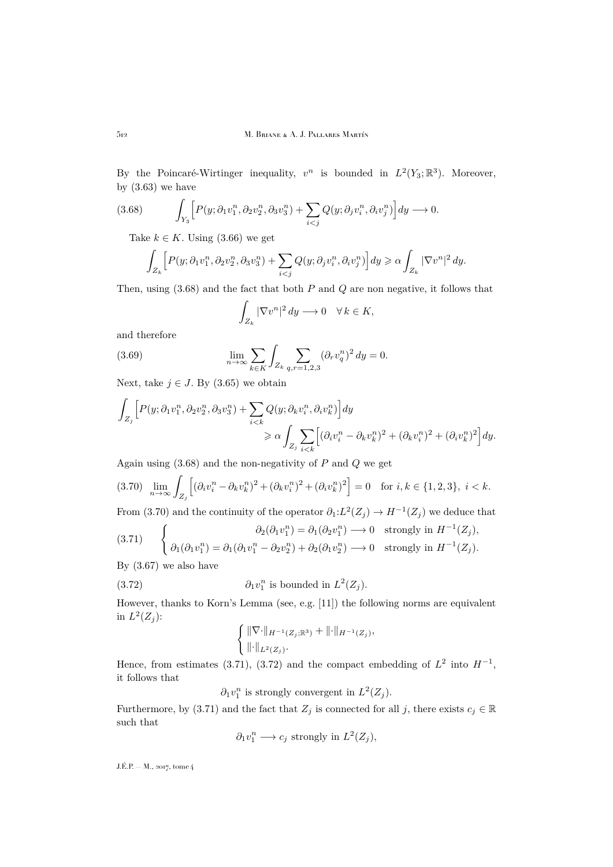By the Poincaré-Wirtinger inequality,  $v^n$  is bounded in  $L^2(Y_3; \mathbb{R}^3)$ . Moreover, by  $(3.63)$  we have

$$
(3.68) \qquad \int_{Y_3} \Big[ P(y; \partial_1 v_1^n, \partial_2 v_2^n, \partial_3 v_3^n) + \sum_{i < j} Q(y; \partial_j v_i^n, \partial_i v_j^n) \Big] dy \longrightarrow 0.
$$

<span id="page-30-0"></span>Take  $k \in K$ . Using [\(3.66\)](#page-29-1) we get

$$
\int_{Z_k} \left[ P(y; \partial_1 v_1^n, \partial_2 v_2^n, \partial_3 v_3^n) + \sum_{i < j} Q(y; \partial_j v_i^n, \partial_i v_j^n) \right] dy \geq \alpha \int_{Z_k} |\nabla v^n|^2 \, dy.
$$

Then, using  $(3.68)$  and the fact that both P and Q are non negative, it follows that

<span id="page-30-4"></span>
$$
\int_{Z_k} |\nabla v^n|^2 dy \longrightarrow 0 \quad \forall \, k \in K,
$$

and therefore

(3.69) 
$$
\lim_{n \to \infty} \sum_{k \in K} \int_{Z_k} \sum_{q,r=1,2,3} (\partial_r v_q^n)^2 dy = 0.
$$

Next, take  $j \in J$ . By [\(3.65\)](#page-29-2) we obtain

$$
\int_{Z_j} \Big[ P(y; \partial_1 v_1^n, \partial_2 v_2^n, \partial_3 v_3^n) + \sum_{i < k} Q(y; \partial_k v_i^n, \partial_i v_k^n) \Big] dy
$$
\n
$$
\geq \alpha \int_{Z_j} \sum_{i < k} \Big[ (\partial_i v_i^n - \partial_k v_k^n)^2 + (\partial_k v_i^n)^2 + (\partial_i v_k^n)^2 \Big] dy.
$$

Again using  $(3.68)$  and the non-negativity of P and Q we get

<span id="page-30-1"></span>
$$
(3.70)\ \lim_{n\to\infty}\int_{Z_j}\Big[(\partial_i v_i^n - \partial_k v_k^n)^2 + (\partial_k v_i^n)^2 + (\partial_i v_k^n)^2\Big] = 0 \quad \text{for } i,k \in \{1,2,3\}, \ i < k.
$$

From [\(3.70\)](#page-30-1) and the continuity of the operator  $\partial_1 : L^2(Z_j) \to H^{-1}(Z_j)$  we deduce that

<span id="page-30-2"></span>
$$
(3.71) \quad \begin{cases} \partial_2(\partial_1 v_1^n) = \partial_1(\partial_2 v_1^n) \longrightarrow 0 & \text{strongly in } H^{-1}(Z_j), \\ \partial_1(\partial_1 v_1^n) = \partial_1(\partial_1 v_1^n - \partial_2 v_2^n) + \partial_2(\partial_1 v_2^n) \longrightarrow 0 & \text{strongly in } H^{-1}(Z_j). \end{cases}
$$

By [\(3.67\)](#page-29-3) we also have

(3.72) 
$$
\partial_1 v_1^n \text{ is bounded in } L^2(Z_j).
$$

However, thanks to Korn's Lemma (see, e.g. [\[11\]](#page-32-12)) the following norms are equivalent in  $L^2(Z_j)$ :

<span id="page-30-3"></span>
$$
\left\{ \frac{\|\nabla \cdot\|_{H^{-1}(Z_j;\mathbb{R}^3)} + \|\cdot\|_{H^{-1}(Z_j)}}{\|\cdot\|_{L^2(Z_j)}} \right\}
$$

Hence, from estimates [\(3.71\)](#page-30-2), [\(3.72\)](#page-30-3) and the compact embedding of  $L^2$  into  $H^{-1}$ , it follows that

 $\partial_1 v_1^n$  is strongly convergent in  $L^2(Z_j)$ .

Furthermore, by [\(3.71\)](#page-30-2) and the fact that  $Z_j$  is connected for all j, there exists  $c_j \in \mathbb{R}$ such that

$$
\partial_1 v_1^n \longrightarrow c_j \text{ strongly in } L^2(Z_j),
$$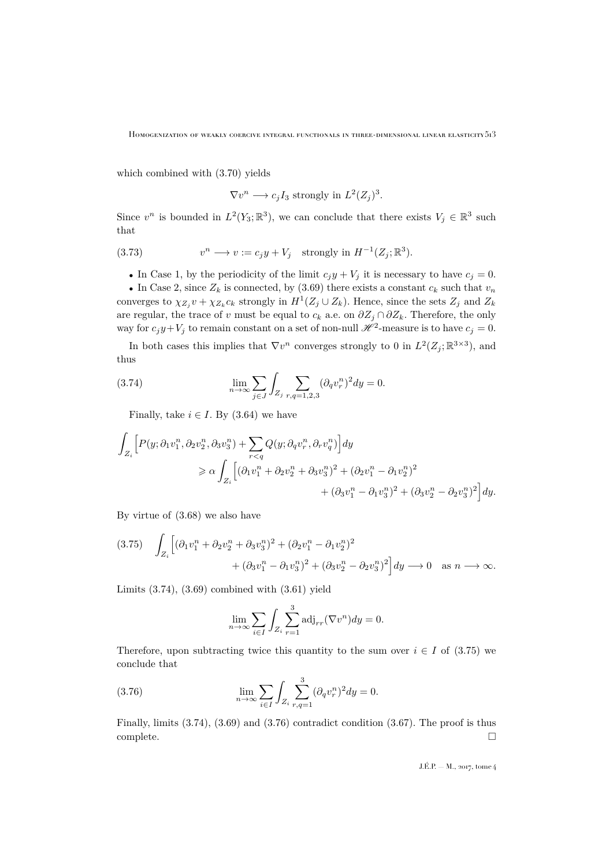HOMOGENIZATION OF WEAKLY COERCIVE INTEGRAL FUNCTIONALS IN THREE-DIMENSIONAL LINEAR ELASTICITY  $513$ 

which combined with [\(3.70\)](#page-30-1) yields

$$
\nabla v^n \longrightarrow c_j I_3
$$
 strongly in  $L^2(Z_j)^3$ .

Since  $v^n$  is bounded in  $L^2(Y_3; \mathbb{R}^3)$ , we can conclude that there exists  $V_j \in \mathbb{R}^3$  such that

(3.73) 
$$
v^n \longrightarrow v := c_j y + V_j \quad \text{strongly in } H^{-1}(Z_j; \mathbb{R}^3).
$$

• In Case 1, by the periodicity of the limit  $c_j y + V_j$  it is necessary to have  $c_j = 0$ .

• In Case 2, since  $Z_k$  is connected, by [\(3.69\)](#page-30-4) there exists a constant  $c_k$  such that  $v_n$ converges to  $\chi_{Z_j} v + \chi_{Z_k} c_k$  strongly in  $H^1(Z_j \cup Z_k)$ . Hence, since the sets  $Z_j$  and  $Z_k$ are regular, the trace of v must be equal to  $c_k$  a.e. on  $\partial Z_j \cap \partial Z_k$ . Therefore, the only way for  $c_j y + V_j$  to remain constant on a set of non-null  $\mathcal{H}^2$ -measure is to have  $c_j = 0$ .

In both cases this implies that  $\nabla v^n$  converges strongly to 0 in  $L^2(Z_j; \mathbb{R}^{3 \times 3})$ , and thus

(3.74) 
$$
\lim_{n \to \infty} \sum_{j \in J} \int_{Z_j} \sum_{r,q=1,2,3} (\partial_q v_r^n)^2 dy = 0.
$$

<span id="page-31-0"></span>Finally, take  $i \in I$ . By [\(3.64\)](#page-29-4) we have

$$
\int_{Z_i} \left[ P(y; \partial_1 v_1^n, \partial_2 v_2^n, \partial_3 v_3^n) + \sum_{r < q} Q(y; \partial_q v_r^n, \partial_r v_q^n) \right] dy
$$
\n
$$
\geq \alpha \int_{Z_i} \left[ (\partial_1 v_1^n + \partial_2 v_2^n + \partial_3 v_3^n)^2 + (\partial_2 v_1^n - \partial_1 v_2^n)^2 + (\partial_3 v_2^n - \partial_2 v_3^n)^2 \right] dy.
$$

By virtue of [\(3.68\)](#page-30-0) we also have

<span id="page-31-1"></span>
$$
(3.75) \quad \int_{Z_i} \left[ (\partial_1 v_1^n + \partial_2 v_2^n + \partial_3 v_3^n)^2 + (\partial_2 v_1^n - \partial_1 v_2^n)^2 + (\partial_3 v_1^n - \partial_1 v_3^n)^2 + (\partial_3 v_2^n - \partial_2 v_3^n)^2 \right] dy \longrightarrow 0 \quad \text{as } n \longrightarrow \infty.
$$

Limits [\(3.74\)](#page-31-0), [\(3.69\)](#page-30-4) combined with [\(3.61\)](#page-28-5) yield

<span id="page-31-2"></span>
$$
\lim_{n \to \infty} \sum_{i \in I} \int_{Z_i} \sum_{r=1}^3 \text{adj}_{rr}(\nabla v^n) dy = 0.
$$

Therefore, upon subtracting twice this quantity to the sum over  $i \in I$  of [\(3.75\)](#page-31-1) we conclude that

(3.76) 
$$
\lim_{n \to \infty} \sum_{i \in I} \int_{Z_i} \sum_{r,q=1}^3 (\partial_q v_r^n)^2 dy = 0.
$$

Finally, limits [\(3.74\)](#page-31-0), [\(3.69\)](#page-30-4) and [\(3.76\)](#page-31-2) contradict condition [\(3.67\)](#page-29-3). The proof is thus complete.